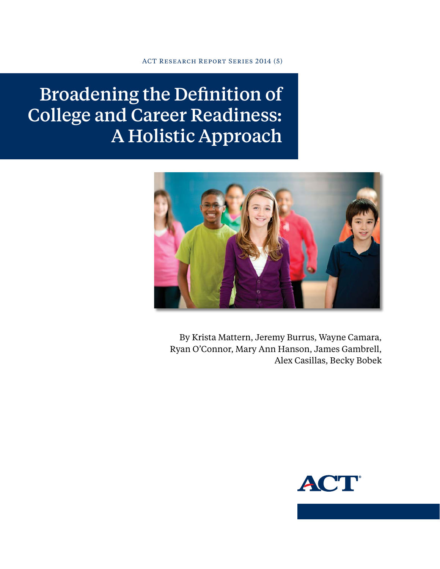ACT Research Report Series 2014 (5)

Broadening the Definition of College and Career Readiness: A Holistic Approach



By Krista Mattern, Jeremy Burrus, Wayne Camara, Ryan O'Connor, Mary Ann Hanson, James Gambrell, Alex Casillas, Becky Bobek

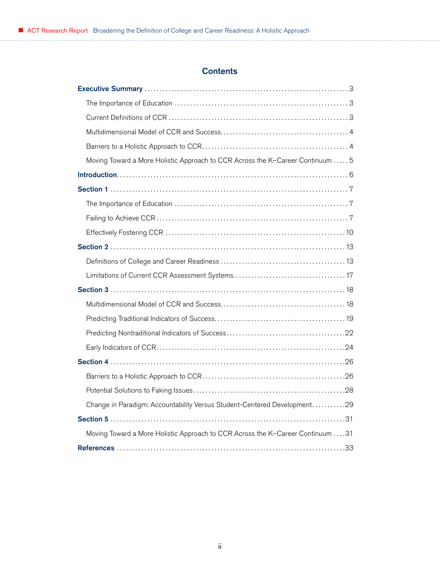# **Contents**

| Moving Toward a More Holistic Approach to CCR Across the K-Career Continuum 5  |
|--------------------------------------------------------------------------------|
|                                                                                |
|                                                                                |
|                                                                                |
|                                                                                |
|                                                                                |
|                                                                                |
|                                                                                |
|                                                                                |
|                                                                                |
|                                                                                |
|                                                                                |
|                                                                                |
|                                                                                |
|                                                                                |
|                                                                                |
|                                                                                |
|                                                                                |
| Change in Paradigm: Accountability Versus Student-Centered Development29       |
|                                                                                |
| Moving Toward a More Holistic Approach to CCR Across the K-Career Continuum 31 |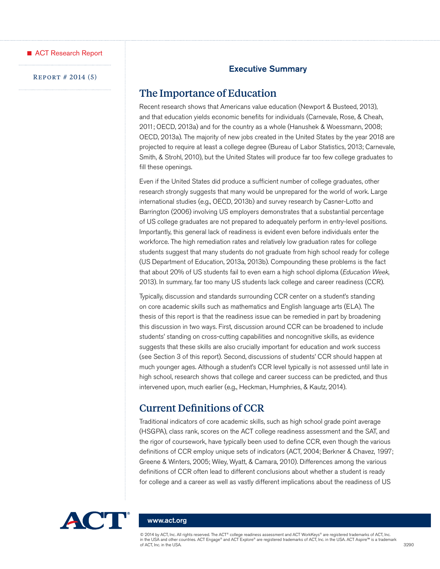<span id="page-2-0"></span>

#### Executive Summary

#### Report # 2014 (5)

## The Importance of Education

Recent research shows that Americans value education (Newport & Busteed, 2013), and that education yields economic benefits for individuals (Carnevale, Rose, & Cheah, 2011; OECD, 2013a) and for the country as a whole (Hanushek & Woessmann, 2008; OECD, 2013a). The majority of new jobs created in the United States by the year 2018 are projected to require at least a college degree (Bureau of Labor Statistics, 2013; Carnevale, Smith, & Strohl, 2010), but the United States will produce far too few college graduates to fill these openings.

Even if the United States did produce a sufficient number of college graduates, other research strongly suggests that many would be unprepared for the world of work. Large international studies (e.g., OECD, 2013b) and survey research by Casner-Lotto and Barrington (2006) involving US employers demonstrates that a substantial percentage of US college graduates are not prepared to adequately perform in entry-level positions. Importantly, this general lack of readiness is evident even before individuals enter the workforce. The high remediation rates and relatively low graduation rates for college students suggest that many students do not graduate from high school ready for college (US Department of Education, 2013a, 2013b). Compounding these problems is the fact that about 20% of US students fail to even earn a high school diploma (*Education Week*, 2013). In summary, far too many US students lack college and career readiness (CCR).

Typically, discussion and standards surrounding CCR center on a student's standing on core academic skills such as mathematics and English language arts (ELA). The thesis of this report is that the readiness issue can be remedied in part by broadening this discussion in two ways. First, discussion around CCR can be broadened to include students' standing on cross-cutting capabilities and noncognitive skills, as evidence suggests that these skills are also crucially important for education and work success (see Section 3 of this report). Second, discussions of students' CCR should happen at much younger ages. Although a student's CCR level typically is not assessed until late in high school, research shows that college and career success can be predicted, and thus intervened upon, much earlier (e.g., Heckman, Humphries, & Kautz, 2014).

## Current Definitions of CCR

Traditional indicators of core academic skills, such as high school grade point average (HSGPA), class rank, scores on the ACT college readiness assessment and the SAT, and the rigor of coursework, have typically been used to define CCR, even though the various definitions of CCR employ unique sets of indicators (ACT, 2004; Berkner & Chavez, 1997; Greene & Winters, 2005; Wiley, Wyatt, & Camara, 2010). Differences among the various definitions of CCR often lead to different conclusions about whether a student is ready for college and a career as well as vastly different implications about the readiness of US



#### <www.act.org>

© 2014 by ACT, Inc. All rights reserved. The ACT® college readiness assessment and ACT WorkKeys® are registered trademarks of ACT, Inc. in the USA and other countries. ACT Engage® and ACT Explore® are registered trademarks of ACT, Inc. in the USA. ACT Aspire™ is a trademark of ACT, Inc. in the USA. 3290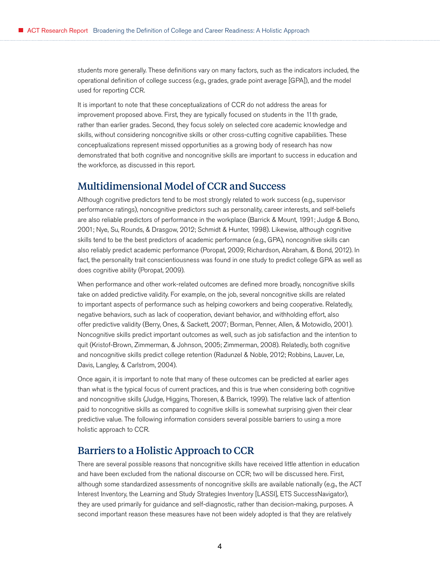<span id="page-3-0"></span>students more generally. These definitions vary on many factors, such as the indicators included, the operational definition of college success (e.g., grades, grade point average [GPA]), and the model used for reporting CCR.

It is important to note that these conceptualizations of CCR do not address the areas for improvement proposed above. First, they are typically focused on students in the 11th grade, rather than earlier grades. Second, they focus solely on selected core academic knowledge and skills, without considering noncognitive skills or other cross-cutting cognitive capabilities. These conceptualizations represent missed opportunities as a growing body of research has now demonstrated that both cognitive and noncognitive skills are important to success in education and the workforce, as discussed in this report.

## Multidimensional Model of CCR and Success

Although cognitive predictors tend to be most strongly related to work success (e.g., supervisor performance ratings), noncognitive predictors such as personality, career interests, and self-beliefs are also reliable predictors of performance in the workplace (Barrick & Mount, 1991; Judge & Bono, 2001; Nye, Su, Rounds, & Drasgow, 2012; Schmidt & Hunter, 1998). Likewise, although cognitive skills tend to be the best predictors of academic performance (e.g., GPA), noncognitive skills can also reliably predict academic performance (Poropat, 2009; Richardson, Abraham, & Bond, 2012). In fact, the personality trait conscientiousness was found in one study to predict college GPA as well as does cognitive ability (Poropat, 2009).

When performance and other work-related outcomes are defined more broadly, noncognitive skills take on added predictive validity. For example, on the job, several noncognitive skills are related to important aspects of performance such as helping coworkers and being cooperative. Relatedly, negative behaviors, such as lack of cooperation, deviant behavior, and withholding effort, also offer predictive validity (Berry, Ones, & Sackett, 2007; Borman, Penner, Allen, & Motowidlo, 2001). Noncognitive skills predict important outcomes as well, such as job satisfaction and the intention to quit (Kristof-Brown, Zimmerman, & Johnson, 2005; Zimmerman, 2008). Relatedly, both cognitive and noncognitive skills predict college retention (Radunzel & Noble, 2012; Robbins, Lauver, Le, Davis, Langley, & Carlstrom, 2004).

Once again, it is important to note that many of these outcomes can be predicted at earlier ages than what is the typical focus of current practices, and this is true when considering both cognitive and noncognitive skills (Judge, Higgins, Thoresen, & Barrick, 1999). The relative lack of attention paid to noncognitive skills as compared to cognitive skills is somewhat surprising given their clear predictive value. The following information considers several possible barriers to using a more holistic approach to CCR.

# Barriers to a Holistic Approach to CCR

There are several possible reasons that noncognitive skills have received little attention in education and have been excluded from the national discourse on CCR; two will be discussed here. First, although some standardized assessments of noncognitive skills are available nationally (e.g., the ACT Interest Inventory, the Learning and Study Strategies Inventory [LASSI], ETS SuccessNavigator), they are used primarily for guidance and self-diagnostic, rather than decision-making, purposes. A second important reason these measures have not been widely adopted is that they are relatively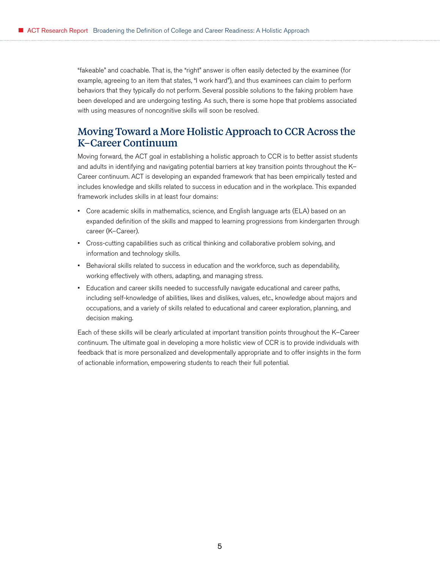<span id="page-4-0"></span>"fakeable" and coachable. That is, the "right" answer is often easily detected by the examinee (for example, agreeing to an item that states, "I work hard"), and thus examinees can claim to perform behaviors that they typically do not perform. Several possible solutions to the faking problem have been developed and are undergoing testing. As such, there is some hope that problems associated with using measures of noncognitive skills will soon be resolved.

# Moving Toward a More Holistic Approach to CCR Across the K–Career Continuum

Moving forward, the ACT goal in establishing a holistic approach to CCR is to better assist students and adults in identifying and navigating potential barriers at key transition points throughout the K– Career continuum. ACT is developing an expanded framework that has been empirically tested and includes knowledge and skills related to success in education and in the workplace. This expanded framework includes skills in at least four domains:

- Core academic skills in mathematics, science, and English language arts (ELA) based on an expanded definition of the skills and mapped to learning progressions from kindergarten through career (K–Career).
- Cross-cutting capabilities such as critical thinking and collaborative problem solving, and information and technology skills.
- Behavioral skills related to success in education and the workforce, such as dependability, working effectively with others, adapting, and managing stress.
- Education and career skills needed to successfully navigate educational and career paths, including self-knowledge of abilities, likes and dislikes, values, etc., knowledge about majors and occupations, and a variety of skills related to educational and career exploration, planning, and decision making.

Each of these skills will be clearly articulated at important transition points throughout the K–Career continuum. The ultimate goal in developing a more holistic view of CCR is to provide individuals with feedback that is more personalized and developmentally appropriate and to offer insights in the form of actionable information, empowering students to reach their full potential.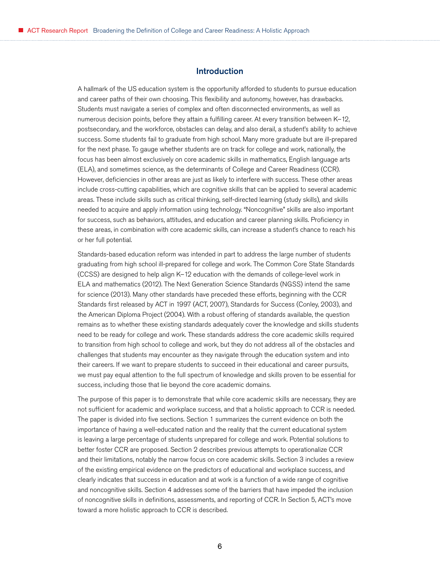#### Introduction

<span id="page-5-0"></span>A hallmark of the US education system is the opportunity afforded to students to pursue education and career paths of their own choosing. This flexibility and autonomy, however, has drawbacks. Students must navigate a series of complex and often disconnected environments, as well as numerous decision points, before they attain a fulfilling career. At every transition between K–12, postsecondary, and the workforce, obstacles can delay, and also derail, a student's ability to achieve success. Some students fail to graduate from high school. Many more graduate but are ill-prepared for the next phase. To gauge whether students are on track for college and work, nationally, the focus has been almost exclusively on core academic skills in mathematics, English language arts (ELA), and sometimes science, as the determinants of College and Career Readiness (CCR). However, deficiencies in other areas are just as likely to interfere with success. These other areas include cross-cutting capabilities, which are cognitive skills that can be applied to several academic areas. These include skills such as critical thinking, self-directed learning (study skills), and skills needed to acquire and apply information using technology. "Noncognitive" skills are also important for success, such as behaviors, attitudes, and education and career planning skills. Proficiency in these areas, in combination with core academic skills, can increase a student's chance to reach his or her full potential.

Standards-based education reform was intended in part to address the large number of students graduating from high school ill-prepared for college and work. The Common Core State Standards (CCSS) are designed to help align K–12 education with the demands of college-level work in ELA and mathematics (2012). The Next Generation Science Standards (NGSS) intend the same for science (2013). Many other standards have preceded these efforts, beginning with the CCR Standards first released by ACT in 1997 (ACT, 2007), Standards for Success (Conley, 2003), and the American Diploma Project (2004). With a robust offering of standards available, the question remains as to whether these existing standards adequately cover the knowledge and skills students need to be ready for college and work. These standards address the core academic skills required to transition from high school to college and work, but they do not address all of the obstacles and challenges that students may encounter as they navigate through the education system and into their careers. If we want to prepare students to succeed in their educational and career pursuits, we must pay equal attention to the full spectrum of knowledge and skills proven to be essential for success, including those that lie beyond the core academic domains.

The purpose of this paper is to demonstrate that while core academic skills are necessary, they are not sufficient for academic and workplace success, and that a holistic approach to CCR is needed. The paper is divided into five sections. Section 1 summarizes the current evidence on both the importance of having a well-educated nation and the reality that the current educational system is leaving a large percentage of students unprepared for college and work. Potential solutions to better foster CCR are proposed. Section 2 describes previous attempts to operationalize CCR and their limitations, notably the narrow focus on core academic skills. Section 3 includes a review of the existing empirical evidence on the predictors of educational and workplace success, and clearly indicates that success in education and at work is a function of a wide range of cognitive and noncognitive skills. Section 4 addresses some of the barriers that have impeded the inclusion of noncognitive skills in definitions, assessments, and reporting of CCR. In Section 5, ACT's move toward a more holistic approach to CCR is described.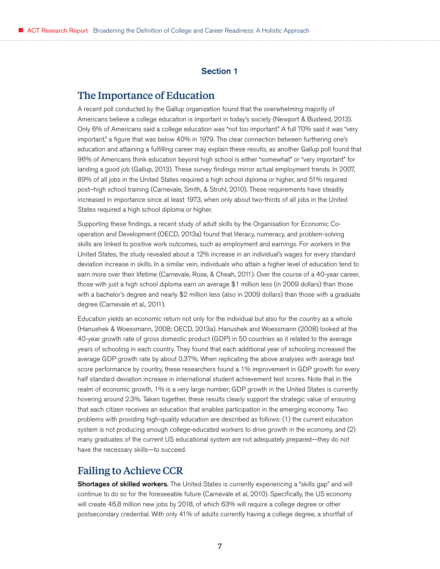#### Section 1

## <span id="page-6-0"></span>The Importance of Education

A recent poll conducted by the Gallup organization found that the overwhelming majority of Americans believe a college education is important in today's society (Newport & Busteed, 2013). Only 6% of Americans said a college education was "not too important." A full 70% said it was "very important," a figure that was below 40% in 1979. The clear connection between furthering one's education and attaining a fulfilling career may explain these results, as another Gallup poll found that 96% of Americans think education beyond high school is either "somewhat" or "very important" for landing a good job (Gallup, 2013). These survey findings mirror actual employment trends. In 2007, 89% of all jobs in the United States required a high school diploma or higher, and 51% required post–high school training (Carnevale, Smith, & Strohl, 2010). These requirements have steadily increased in importance since at least 1973, when only about two-thirds of all jobs in the United States required a high school diploma or higher.

Supporting these findings, a recent study of adult skills by the Organisation for Economic Cooperation and Development (OECD, 2013a) found that literacy, numeracy, and problem-solving skills are linked to positive work outcomes, such as employment and earnings. For workers in the United States, the study revealed about a 12% increase in an individual's wages for every standard deviation increase in skills. In a similar vein, individuals who attain a higher level of education tend to earn more over their lifetime (Carnevale, Rose, & Cheah, 2011). Over the course of a 40-year career, those with just a high school diploma earn on average \$1 million less (in 2009 dollars) than those with a bachelor's degree and nearly \$2 million less (also in 2009 dollars) than those with a graduate degree (Carnevale et al., 2011).

Education yields an economic return not only for the individual but also for the country as a whole (Hanushek & Woessmann, 2008; OECD, 2013a). Hanushek and Woessmann (2008) looked at the 40-year growth rate of gross domestic product (GDP) in 50 countries as it related to the average years of schooling in each country. They found that each additional year of schooling increased the average GDP growth rate by about 0.37%. When replicating the above analyses with average test score performance by country, these researchers found a 1% improvement in GDP growth for every half standard deviation increase in international student achievement test scores. Note that in the realm of economic growth, 1% is a very large number; GDP growth in the United States is currently hovering around 2.3%. Taken together, these results clearly support the strategic value of ensuring that each citizen receives an education that enables participation in the emerging economy. Two problems with providing high-quality education are described as follows: (1) the current education system is not producing enough college-educated workers to drive growth in the economy, and (2) many graduates of the current US educational system are not adequately prepared—they do not have the necessary skills—to succeed.

## Failing to Achieve CCR

Shortages of skilled workers. The United States is currently experiencing a "skills gap" and will continue to do so for the foreseeable future (Carnevale et al, 2010). Specifically, the US economy will create 46.8 million new jobs by 2018, of which 63% will require a college degree or other postsecondary credential. With only 41% of adults currently having a college degree, a shortfall of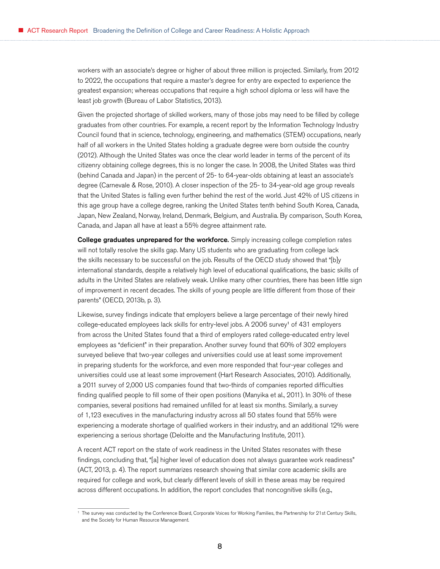workers with an associate's degree or higher of about three million is projected. Similarly, from 2012 to 2022, the occupations that require a master's degree for entry are expected to experience the greatest expansion; whereas occupations that require a high school diploma or less will have the least job growth (Bureau of Labor Statistics, 2013).

Given the projected shortage of skilled workers, many of those jobs may need to be filled by college graduates from other countries. For example, a recent report by the Information Technology Industry Council found that in science, technology, engineering, and mathematics (STEM) occupations, nearly half of all workers in the United States holding a graduate degree were born outside the country (2012). Although the United States was once the clear world leader in terms of the percent of its citizenry obtaining college degrees, this is no longer the case. In 2008, the United States was third (behind Canada and Japan) in the percent of 25- to 64-year-olds obtaining at least an associate's degree (Carnevale & Rose, 2010). A closer inspection of the 25- to 34-year-old age group reveals that the United States is falling even further behind the rest of the world. Just 42% of US citizens in this age group have a college degree, ranking the United States tenth behind South Korea, Canada, Japan, New Zealand, Norway, Ireland, Denmark, Belgium, and Australia. By comparison, South Korea, Canada, and Japan all have at least a 55% degree attainment rate.

College graduates unprepared for the workforce. Simply increasing college completion rates will not totally resolve the skills gap. Many US students who are graduating from college lack the skills necessary to be successful on the job. Results of the OECD study showed that "[b]y international standards, despite a relatively high level of educational qualifications, the basic skills of adults in the United States are relatively weak. Unlike many other countries, there has been little sign of improvement in recent decades. The skills of young people are little different from those of their parents" (OECD, 2013b, p. 3).

Likewise, survey findings indicate that employers believe a large percentage of their newly hired college-educated employees lack skills for entry-level jobs. A 2006 survey<sup>1</sup> of  $431$  employers from across the United States found that a third of employers rated college-educated entry level employees as "deficient" in their preparation. Another survey found that 60% of 302 employers surveyed believe that two-year colleges and universities could use at least some improvement in preparing students for the workforce, and even more responded that four-year colleges and universities could use at least some improvement (Hart Research Associates, 2010). Additionally, a 2011 survey of 2,000 US companies found that two-thirds of companies reported difficulties finding qualified people to fill some of their open positions (Manyika et al., 2011). In 30% of these companies, several positions had remained unfilled for at least six months. Similarly, a survey of 1,123 executives in the manufacturing industry across all 50 states found that 55% were experiencing a moderate shortage of qualified workers in their industry, and an additional 12% were experiencing a serious shortage (Deloitte and the Manufacturing Institute, 2011).

A recent ACT report on the state of work readiness in the United States resonates with these findings, concluding that, "[a] higher level of education does not always guarantee work readiness" (ACT, 2013, p. 4). The report summarizes research showing that similar core academic skills are required for college and work, but clearly different levels of skill in these areas may be required across different occupations. In addition, the report concludes that noncognitive skills (e.g.,

<sup>1</sup> The survey was conducted by the Conference Board, Corporate Voices for Working Families, the Partnership for 21st Century Skills, and the Society for Human Resource Management.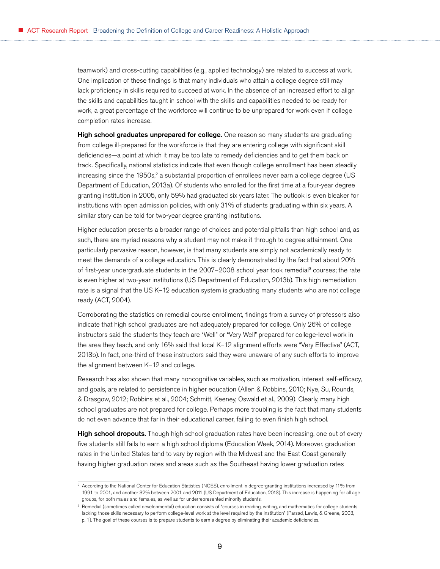teamwork) and cross-cutting capabilities (e.g., applied technology) are related to success at work. One implication of these findings is that many individuals who attain a college degree still may lack proficiency in skills required to succeed at work. In the absence of an increased effort to align the skills and capabilities taught in school with the skills and capabilities needed to be ready for work, a great percentage of the workforce will continue to be unprepared for work even if college completion rates increase.

High school graduates unprepared for college. One reason so many students are graduating from college ill-prepared for the workforce is that they are entering college with significant skill deficiencies—a point at which it may be too late to remedy deficiencies and to get them back on track. Specifically, national statistics indicate that even though college enrollment has been steadily increasing since the 1950s,<sup>2</sup> a substantial proportion of enrollees never earn a college degree (US Department of Education, 2013a). Of students who enrolled for the first time at a four-year degree granting institution in 2005, only 59% had graduated six years later. The outlook is even bleaker for institutions with open admission policies, with only 31% of students graduating within six years. A similar story can be told for two-year degree granting institutions.

Higher education presents a broader range of choices and potential pitfalls than high school and, as such, there are myriad reasons why a student may not make it through to degree attainment. One particularly pervasive reason, however, is that many students are simply not academically ready to meet the demands of a college education. This is clearly demonstrated by the fact that about 20% of first-year undergraduate students in the 2007–2008 school year took remedial<sup>3</sup> courses; the rate is even higher at two-year institutions (US Department of Education, 2013b). This high remediation rate is a signal that the US K–12 education system is graduating many students who are not college ready (ACT, 2004).

Corroborating the statistics on remedial course enrollment, findings from a survey of professors also indicate that high school graduates are not adequately prepared for college. Only 26% of college instructors said the students they teach are "Well" or "Very Well" prepared for college-level work in the area they teach, and only 16% said that local K–12 alignment efforts were "Very Effective" (ACT, 2013b). In fact, one-third of these instructors said they were unaware of any such efforts to improve the alignment between K–12 and college.

Research has also shown that many noncognitive variables, such as motivation, interest, self-efficacy, and goals, are related to persistence in higher education (Allen & Robbins, 2010; Nye, Su, Rounds, & Drasgow, 2012; Robbins et al., 2004; Schmitt, Keeney, Oswald et al., 2009). Clearly, many high school graduates are not prepared for college. Perhaps more troubling is the fact that many students do not even advance that far in their educational career, failing to even finish high school.

High school dropouts. Though high school graduation rates have been increasing, one out of every five students still fails to earn a high school diploma (Education Week, 2014). Moreover, graduation rates in the United States tend to vary by region with the Midwest and the East Coast generally having higher graduation rates and areas such as the Southeast having lower graduation rates

<sup>&</sup>lt;sup>2</sup> According to the National Center for Education Statistics (NCES), enrollment in degree-granting institutions increased by 11% from 1991 to 2001, and another 32% between 2001 and 2011 (US Department of Education, 2013). This increase is happening for all age groups, for both males and females, as well as for underrepresented minority students.

<sup>&</sup>lt;sup>3</sup> Remedial (sometimes called developmental) education consists of "courses in reading, writing, and mathematics for college students lacking those skills necessary to perform college-level work at the level required by the institution" (Parsad, Lewis, & Greene, 2003, p. 1). The goal of these courses is to prepare students to earn a degree by eliminating their academic deficiencies.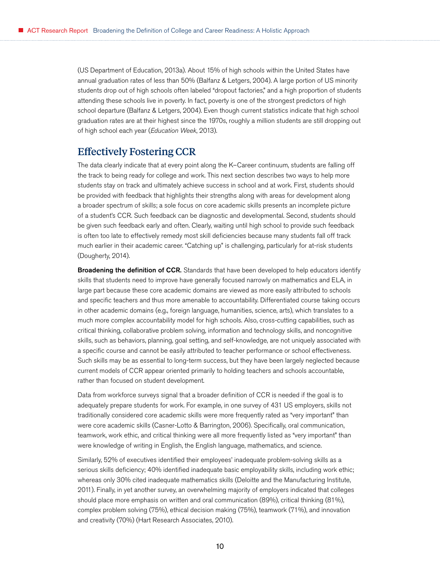<span id="page-9-0"></span>(US Department of Education, 2013a). About 15% of high schools within the United States have annual graduation rates of less than 50% (Balfanz & Letgers, 2004). A large portion of US minority students drop out of high schools often labeled "dropout factories," and a high proportion of students attending these schools live in poverty. In fact, poverty is one of the strongest predictors of high school departure (Balfanz & Letgers, 2004). Even though current statistics indicate that high school graduation rates are at their highest since the 1970s, roughly a million students are still dropping out of high school each year (*Education Week*, 2013).

## Effectively Fostering CCR

The data clearly indicate that at every point along the K–Career continuum, students are falling off the track to being ready for college and work. This next section describes two ways to help more students stay on track and ultimately achieve success in school and at work. First, students should be provided with feedback that highlights their strengths along with areas for development along a broader spectrum of skills; a sole focus on core academic skills presents an incomplete picture of a student's CCR. Such feedback can be diagnostic and developmental. Second, students should be given such feedback early and often. Clearly, waiting until high school to provide such feedback is often too late to effectively remedy most skill deficiencies because many students fall off track much earlier in their academic career. "Catching up" is challenging, particularly for at-risk students (Dougherty, 2014).

**Broadening the definition of CCR.** Standards that have been developed to help educators identify skills that students need to improve have generally focused narrowly on mathematics and ELA, in large part because these core academic domains are viewed as more easily attributed to schools and specific teachers and thus more amenable to accountability. Differentiated course taking occurs in other academic domains (e.g., foreign language, humanities, science, arts), which translates to a much more complex accountability model for high schools. Also, cross-cutting capabilities, such as critical thinking, collaborative problem solving, information and technology skills, and noncognitive skills, such as behaviors, planning, goal setting, and self-knowledge, are not uniquely associated with a specific course and cannot be easily attributed to teacher performance or school effectiveness. Such skills may be as essential to long-term success, but they have been largely neglected because current models of CCR appear oriented primarily to holding teachers and schools accountable, rather than focused on student development.

Data from workforce surveys signal that a broader definition of CCR is needed if the goal is to adequately prepare students for work. For example, in one survey of 431 US employers, skills not traditionally considered core academic skills were more frequently rated as "very important" than were core academic skills (Casner-Lotto & Barrington, 2006). Specifically, oral communication, teamwork, work ethic, and critical thinking were all more frequently listed as "very important" than were knowledge of writing in English, the English language, mathematics, and science.

Similarly, 52% of executives identified their employees' inadequate problem-solving skills as a serious skills deficiency; 40% identified inadequate basic employability skills, including work ethic; whereas only 30% cited inadequate mathematics skills (Deloitte and the Manufacturing Institute, 2011). Finally, in yet another survey, an overwhelming majority of employers indicated that colleges should place more emphasis on written and oral communication (89%), critical thinking (81%), complex problem solving (75%), ethical decision making (75%), teamwork (71%), and innovation and creativity (70%) (Hart Research Associates, 2010).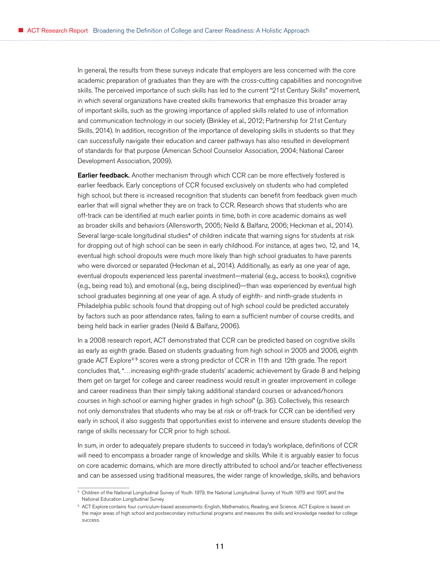In general, the results from these surveys indicate that employers are less concerned with the core academic preparation of graduates than they are with the cross-cutting capabilities and noncognitive skills. The perceived importance of such skills has led to the current "21st Century Skills" movement, in which several organizations have created skills frameworks that emphasize this broader array of important skills, such as the growing importance of applied skills related to use of information and communication technology in our society (Binkley et al., 2012; Partnership for 21st Century Skills, 2014). In addition, recognition of the importance of developing skills in students so that they can successfully navigate their education and career pathways has also resulted in development of standards for that purpose (American School Counselor Association, 2004; National Career Development Association, 2009).

**Earlier feedback.** Another mechanism through which CCR can be more effectively fostered is earlier feedback. Early conceptions of CCR focused exclusively on students who had completed high school, but there is increased recognition that students can benefit from feedback given much earlier that will signal whether they are on track to CCR. Research shows that students who are off-track can be identified at much earlier points in time, both in core academic domains as well as broader skills and behaviors (Allensworth, 2005; Neild & Balfanz, 2006; Heckman et al., 2014). Several large-scale longitudinal studies<sup>4</sup> of children indicate that warning signs for students at risk for dropping out of high school can be seen in early childhood. For instance, at ages two, 12, and 14, eventual high school dropouts were much more likely than high school graduates to have parents who were divorced or separated (Heckman et al., 2014). Additionally, as early as one year of age, eventual dropouts experienced less parental investment—material (e.g., access to books), cognitive (e.g., being read to), and emotional (e.g., being disciplined)—than was experienced by eventual high school graduates beginning at one year of age. A study of eighth- and ninth-grade students in Philadelphia public schools found that dropping out of high school could be predicted accurately by factors such as poor attendance rates, failing to earn a sufficient number of course credits, and being held back in earlier grades (Neild & Balfanz, 2006).

In a 2008 research report, ACT demonstrated that CCR can be predicted based on cognitive skills as early as eighth grade. Based on students graduating from high school in 2005 and 2006, eighth grade ACT Explore®<sup>5</sup> scores were a strong predictor of CCR in 11th and 12th grade. The report concludes that, "…increasing eighth-grade students' academic achievement by Grade 8 and helping them get on target for college and career readiness would result in greater improvement in college and career readiness than their simply taking additional standard courses or advanced/honors courses in high school or earning higher grades in high school" (p. 36). Collectively, this research not only demonstrates that students who may be at risk or off-track for CCR can be identified very early in school, it also suggests that opportunities exist to intervene and ensure students develop the range of skills necessary for CCR prior to high school.

In sum, in order to adequately prepare students to succeed in today's workplace, definitions of CCR will need to encompass a broader range of knowledge and skills. While it is arguably easier to focus on core academic domains, which are more directly attributed to school and/or teacher effectiveness and can be assessed using traditional measures, the wider range of knowledge, skills, and behaviors

<sup>4</sup> Children of the National Longitudinal Survey of Youth 1979, the National Longitudinal Survey of Youth 1979 and 1997, and the National Education Longitudinal Survey.

<sup>&</sup>lt;sup>5</sup> ACT Explore contains four curriculum-based assessments: English, Mathematics, Reading, and Science. ACT Explore is based on the major areas of high school and postsecondary instructional programs and measures the skills and knowledge needed for college success.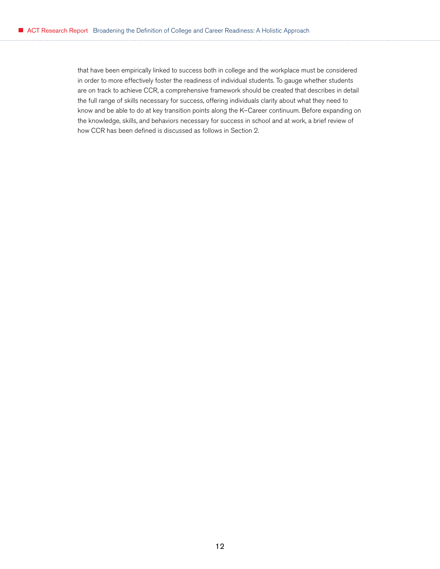that have been empirically linked to success both in college and the workplace must be considered in order to more effectively foster the readiness of individual students. To gauge whether students are on track to achieve CCR, a comprehensive framework should be created that describes in detail the full range of skills necessary for success, offering individuals clarity about what they need to know and be able to do at key transition points along the K–Career continuum. Before expanding on the knowledge, skills, and behaviors necessary for success in school and at work, a brief review of how CCR has been defined is discussed as follows in Section 2.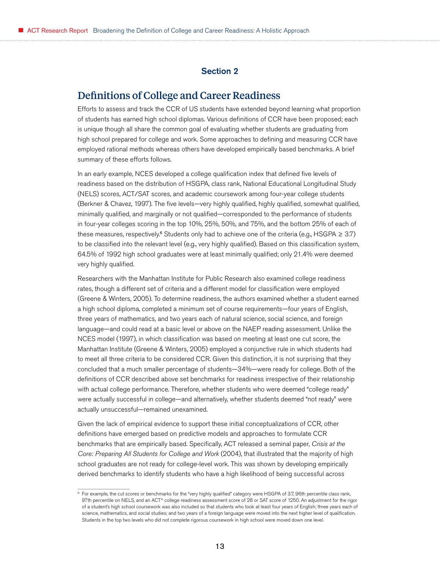#### Section 2

# <span id="page-12-0"></span>Definitions of College and Career Readiness

Efforts to assess and track the CCR of US students have extended beyond learning what proportion of students has earned high school diplomas. Various definitions of CCR have been proposed; each is unique though all share the common goal of evaluating whether students are graduating from high school prepared for college and work. Some approaches to defining and measuring CCR have employed rational methods whereas others have developed empirically based benchmarks. A brief summary of these efforts follows.

In an early example, NCES developed a college qualification index that defined five levels of readiness based on the distribution of HSGPA, class rank, National Educational Longitudinal Study (NELS) scores, ACT/SAT scores, and academic coursework among four-year college students (Berkner & Chavez, 1997). The five levels—very highly qualified, highly qualified, somewhat qualified, minimally qualified, and marginally or not qualified—corresponded to the performance of students in four-year colleges scoring in the top 10%, 25%, 50%, and 75%, and the bottom 25% of each of these measures, respectively.<sup>6</sup> Students only had to achieve one of the criteria (e.g., HSGPA  $\geq 3.7$ ) to be classified into the relevant level (e.g., very highly qualified). Based on this classification system, 64.5% of 1992 high school graduates were at least minimally qualified; only 21.4% were deemed very highly qualified.

Researchers with the Manhattan Institute for Public Research also examined college readiness rates, though a different set of criteria and a different model for classification were employed (Greene & Winters, 2005). To determine readiness, the authors examined whether a student earned a high school diploma, completed a minimum set of course requirements—four years of English, three years of mathematics, and two years each of natural science, social science, and foreign language—and could read at a basic level or above on the NAEP reading assessment. Unlike the NCES model (1997), in which classification was based on meeting at least one cut score, the Manhattan Institute (Greene & Winters, 2005) employed a conjunctive rule in which students had to meet all three criteria to be considered CCR. Given this distinction, it is not surprising that they concluded that a much smaller percentage of students—34%—were ready for college. Both of the definitions of CCR described above set benchmarks for readiness irrespective of their relationship with actual college performance. Therefore, whether students who were deemed "college ready" were actually successful in college—and alternatively, whether students deemed "not ready" were actually unsuccessful—remained unexamined.

Given the lack of empirical evidence to support these initial conceptualizations of CCR, other definitions have emerged based on predictive models and approaches to formulate CCR benchmarks that are empirically based. Specifically, ACT released a seminal paper, *Crisis at the Core: Preparing All Students for College and Work* (2004), that illustrated that the majority of high school graduates are not ready for college-level work. This was shown by developing empirically derived benchmarks to identify students who have a high likelihood of being successful across

<sup>6</sup> For example, the cut scores or benchmarks for the "very highly qualified" category were HSGPA of 3.7, 96th percentile class rank, 97th percentile on NELS, and an ACT® college readiness assessment score of 28 or SAT score of 1250. An adjustment for the rigor of a student's high school coursework was also included so that students who took at least four years of English; three years each of science, mathematics, and social studies; and two years of a foreign language were moved into the next higher level of qualification. Students in the top two levels who did not complete rigorous coursework in high school were moved down one level.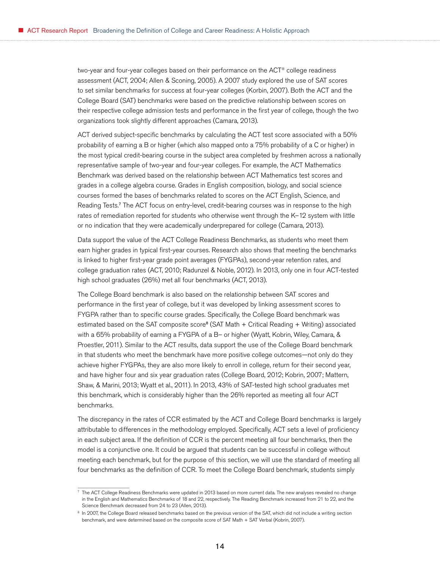two-year and four-year colleges based on their performance on the ACT® college readiness assessment (ACT, 2004; Allen & Sconing, 2005). A 2007 study explored the use of SAT scores to set similar benchmarks for success at four-year colleges (Korbin, 2007). Both the ACT and the College Board (SAT) benchmarks were based on the predictive relationship between scores on their respective college admission tests and performance in the first year of college, though the two organizations took slightly different approaches (Camara, 2013).

ACT derived subject-specific benchmarks by calculating the ACT test score associated with a 50% probability of earning a B or higher (which also mapped onto a 75% probability of a C or higher) in the most typical credit-bearing course in the subject area completed by freshmen across a nationally representative sample of two-year and four-year colleges. For example, the ACT Mathematics Benchmark was derived based on the relationship between ACT Mathematics test scores and grades in a college algebra course. Grades in English composition, biology, and social science courses formed the bases of benchmarks related to scores on the ACT English, Science, and Reading Tests. <sup>7</sup> The ACT focus on entry-level, credit-bearing courses was in response to the high rates of remediation reported for students who otherwise went through the K–12 system with little or no indication that they were academically underprepared for college (Camara, 2013).

Data support the value of the ACT College Readiness Benchmarks, as students who meet them earn higher grades in typical first-year courses. Research also shows that meeting the benchmarks is linked to higher first-year grade point averages (FYGPAs), second-year retention rates, and college graduation rates (ACT, 2010; Radunzel & Noble, 2012). In 2013, only one in four ACT-tested high school graduates (26%) met all four benchmarks (ACT, 2013).

The College Board benchmark is also based on the relationship between SAT scores and performance in the first year of college, but it was developed by linking assessment scores to FYGPA rather than to specific course grades. Specifically, the College Board benchmark was estimated based on the SAT composite score<sup>8</sup> (SAT Math + Critical Reading + Writing) associated with a 65% probability of earning a FYGPA of a B– or higher (Wyatt, Kobrin, Wiley, Camara, & Proestler, 2011). Similar to the ACT results, data support the use of the College Board benchmark in that students who meet the benchmark have more positive college outcomes—not only do they achieve higher FYGPAs, they are also more likely to enroll in college, return for their second year, and have higher four and six year graduation rates (College Board, 2012; Kobrin, 2007; Mattern, Shaw, & Marini, 2013; Wyatt et al., 2011). In 2013, 43% of SAT-tested high school graduates met this benchmark, which is considerably higher than the 26% reported as meeting all four ACT benchmarks.

The discrepancy in the rates of CCR estimated by the ACT and College Board benchmarks is largely attributable to differences in the methodology employed. Specifically, ACT sets a level of proficiency in each subject area. If the definition of CCR is the percent meeting all four benchmarks, then the model is a conjunctive one. It could be argued that students can be successful in college without meeting each benchmark, but for the purpose of this section, we will use the standard of meeting all four benchmarks as the definition of CCR. To meet the College Board benchmark, students simply

 $7$  The ACT College Readiness Benchmarks were updated in 2013 based on more current data. The new analyses revealed no change in the English and Mathematics Benchmarks of 18 and 22, respectively. The Reading Benchmark increased from 21 to 22, and the Science Benchmark decreased from 24 to 23 (Allen, 2013).

<sup>8</sup> In 2007, the College Board released benchmarks based on the previous version of the SAT, which did not include a writing section benchmark, and were determined based on the composite score of SAT Math + SAT Verbal (Kobrin, 2007).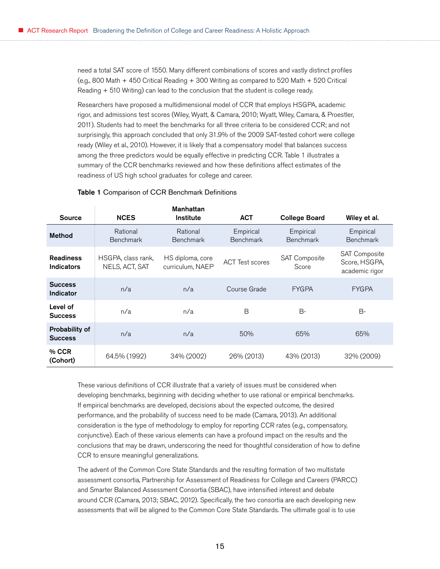need a total SAT score of 1550. Many different combinations of scores and vastly distinct profiles (e.g., 800 Math + 450 Critical Reading + 300 Writing as compared to 520 Math + 520 Critical Reading + 510 Writing) can lead to the conclusion that the student is college ready.

Researchers have proposed a multidimensional model of CCR that employs HSGPA, academic rigor, and admissions test scores (Wiley, Wyatt, & Camara, 2010; Wyatt, Wiley, Camara, & Proestler, 2011). Students had to meet the benchmarks for all three criteria to be considered CCR; and not surprisingly, this approach concluded that only 31.9% of the 2009 SAT-tested cohort were college ready (Wiley et al., 2010). However, it is likely that a compensatory model that balances success among the three predictors would be equally effective in predicting CCR. Table 1 illustrates a summary of the CCR benchmarks reviewed and how these definitions affect estimates of the readiness of US high school graduates for college and career.

#### Table 1 Comparison of CCR Benchmark Definitions

| <b>Source</b>                         | <b>NCES</b>                          | <b>Manhattan</b><br><b>Institute</b> | <b>ACT</b>                    | <b>College Board</b>          | Wiley et al.                                            |
|---------------------------------------|--------------------------------------|--------------------------------------|-------------------------------|-------------------------------|---------------------------------------------------------|
| <b>Method</b>                         | Rational<br><b>Benchmark</b>         | Rational<br><b>Benchmark</b>         | Empirical<br><b>Benchmark</b> | Empirical<br><b>Benchmark</b> | Empirical<br><b>Benchmark</b>                           |
| <b>Readiness</b><br><b>Indicators</b> | HSGPA, class rank,<br>NELS, ACT, SAT | HS diploma, core<br>curriculum, NAEP | <b>ACT Test scores</b>        | SAT Composite<br>Score        | <b>SAT Composite</b><br>Score, HSGPA,<br>academic rigor |
| <b>Success</b><br>Indicator           | n/a                                  | n/a                                  | Course Grade                  | <b>FYGPA</b>                  | <b>FYGPA</b>                                            |
| Level of<br><b>Success</b>            | n/a                                  | n/a                                  | B                             | $B-$                          | B-                                                      |
| Probability of<br><b>Success</b>      | n/a                                  | n/a                                  | 50%                           | 65%                           | 65%                                                     |
| % CCR<br>(Cohort)                     | 64.5% (1992)                         | 34% (2002)                           | 26% (2013)                    | 43% (2013)                    | 32% (2009)                                              |

These various definitions of CCR illustrate that a variety of issues must be considered when developing benchmarks, beginning with deciding whether to use rational or empirical benchmarks. If empirical benchmarks are developed, decisions about the expected outcome, the desired performance, and the probability of success need to be made (Camara, 2013). An additional consideration is the type of methodology to employ for reporting CCR rates (e.g., compensatory, conjunctive). Each of these various elements can have a profound impact on the results and the conclusions that may be drawn, underscoring the need for thoughtful consideration of how to define CCR to ensure meaningful generalizations.

The advent of the Common Core State Standards and the resulting formation of two multistate assessment consortia, Partnership for Assessment of Readiness for College and Careers (PARCC) and Smarter Balanced Assessment Consortia (SBAC), have intensified interest and debate around CCR (Camara, 2013; SBAC, 2012). Specifically, the two consortia are each developing new assessments that will be aligned to the Common Core State Standards. The ultimate goal is to use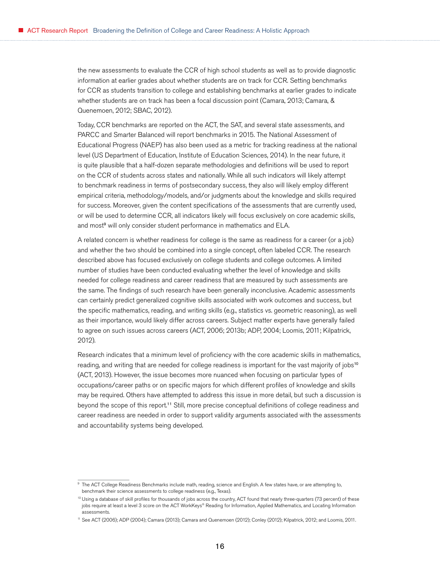the new assessments to evaluate the CCR of high school students as well as to provide diagnostic information at earlier grades about whether students are on track for CCR. Setting benchmarks for CCR as students transition to college and establishing benchmarks at earlier grades to indicate whether students are on track has been a focal discussion point (Camara, 2013; Camara, & Quenemoen, 2012; SBAC, 2012).

Today, CCR benchmarks are reported on the ACT, the SAT, and several state assessments, and PARCC and Smarter Balanced will report benchmarks in 2015. The National Assessment of Educational Progress (NAEP) has also been used as a metric for tracking readiness at the national level (US Department of Education, Institute of Education Sciences, 2014). In the near future, it is quite plausible that a half-dozen separate methodologies and definitions will be used to report on the CCR of students across states and nationally. While all such indicators will likely attempt to benchmark readiness in terms of postsecondary success, they also will likely employ different empirical criteria, methodology/models, and/or judgments about the knowledge and skills required for success. Moreover, given the content specifications of the assessments that are currently used, or will be used to determine CCR, all indicators likely will focus exclusively on core academic skills, and most<sup>9</sup> will only consider student performance in mathematics and ELA.

A related concern is whether readiness for college is the same as readiness for a career (or a job) and whether the two should be combined into a single concept, often labeled CCR. The research described above has focused exclusively on college students and college outcomes. A limited number of studies have been conducted evaluating whether the level of knowledge and skills needed for college readiness and career readiness that are measured by such assessments are the same. The findings of such research have been generally inconclusive. Academic assessments can certainly predict generalized cognitive skills associated with work outcomes and success, but the specific mathematics, reading, and writing skills (e.g., statistics vs. geometric reasoning), as well as their importance, would likely differ across careers. Subject matter experts have generally failed to agree on such issues across careers (ACT, 2006; 2013b; ADP, 2004; Loomis, 2011; Kilpatrick, 2012).

Research indicates that a minimum level of proficiency with the core academic skills in mathematics, reading, and writing that are needed for college readiness is important for the vast majority of jobs<sup>10</sup> (ACT, 2013). However, the issue becomes more nuanced when focusing on particular types of occupations/career paths or on specific majors for which different profiles of knowledge and skills may be required. Others have attempted to address this issue in more detail, but such a discussion is beyond the scope of this report. <sup>11</sup> Still, more precise conceptual definitions of college readiness and career readiness are needed in order to support validity arguments associated with the assessments and accountability systems being developed.

<sup>&</sup>lt;sup>9</sup> The ACT College Readiness Benchmarks include math, reading, science and English. A few states have, or are attempting to, benchmark their science assessments to college readiness (e.g., Texas).

<sup>&</sup>lt;sup>10</sup> Using a database of skill profiles for thousands of jobs across the country, ACT found that nearly three-quarters (73 percent) of these jobs require at least a level 3 score on the ACT WorkKeys® Reading for Information, Applied Mathematics, and Locating Information assessments.

<sup>11</sup> See ACT (2006); ADP (2004); Camara (2013); Camara and Quenemoen (2012); Conley (2012); Kilpatrick, 2012; and Loomis, 2011.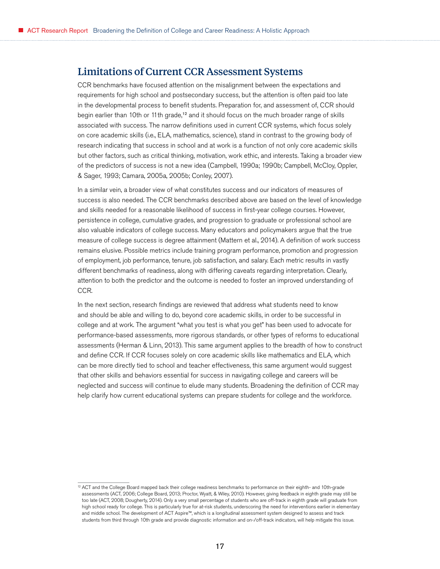# <span id="page-16-0"></span>Limitations of Current CCR Assessment Systems

CCR benchmarks have focused attention on the misalignment between the expectations and requirements for high school and postsecondary success, but the attention is often paid too late in the developmental process to benefit students. Preparation for, and assessment of, CCR should begin earlier than 10th or 11th grade,<sup>12</sup> and it should focus on the much broader range of skills associated with success. The narrow definitions used in current CCR systems, which focus solely on core academic skills (i.e., ELA, mathematics, science), stand in contrast to the growing body of research indicating that success in school and at work is a function of not only core academic skills but other factors, such as critical thinking, motivation, work ethic, and interests. Taking a broader view of the predictors of success is not a new idea (Campbell, 1990a; 1990b; Campbell, McCloy, Oppler, & Sager, 1993; Camara, 2005a, 2005b; Conley, 2007).

In a similar vein, a broader view of what constitutes success and our indicators of measures of success is also needed. The CCR benchmarks described above are based on the level of knowledge and skills needed for a reasonable likelihood of success in first-year college courses. However, persistence in college, cumulative grades, and progression to graduate or professional school are also valuable indicators of college success. Many educators and policymakers argue that the true measure of college success is degree attainment (Mattern et al., 2014). A definition of work success remains elusive. Possible metrics include training program performance, promotion and progression of employment, job performance, tenure, job satisfaction, and salary. Each metric results in vastly different benchmarks of readiness, along with differing caveats regarding interpretation. Clearly, attention to both the predictor and the outcome is needed to foster an improved understanding of CCR.

In the next section, research findings are reviewed that address what students need to know and should be able and willing to do, beyond core academic skills, in order to be successful in college and at work. The argument "what you test is what you get" has been used to advocate for performance-based assessments, more rigorous standards, or other types of reforms to educational assessments (Herman & Linn, 2013). This same argument applies to the breadth of how to construct and define CCR. If CCR focuses solely on core academic skills like mathematics and ELA, which can be more directly tied to school and teacher effectiveness, this same argument would suggest that other skills and behaviors essential for success in navigating college and careers will be neglected and success will continue to elude many students. Broadening the definition of CCR may help clarify how current educational systems can prepare students for college and the workforce.

<sup>12</sup> ACT and the College Board mapped back their college readiness benchmarks to performance on their eighth- and 10th-grade assessments (ACT, 2006; College Board, 2013; Proctor, Wyatt, & Wiley, 2010). However, giving feedback in eighth grade may still be too late (ACT, 2008; Dougherty, 2014). Only a very small percentage of students who are off-track in eighth grade will graduate from high school ready for college. This is particularly true for at-risk students, underscoring the need for interventions earlier in elementary and middle school. The development of ACT Aspire™, which is a longitudinal assessment system designed to assess and track students from third through 10th grade and provide diagnostic information and on-/off-track indicators, will help mitigate this issue.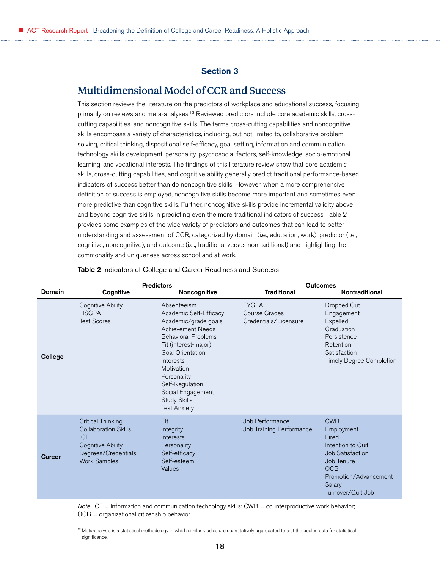### Section 3

## <span id="page-17-0"></span>Multidimensional Model of CCR and Success

This section reviews the literature on the predictors of workplace and educational success, focusing primarily on reviews and meta-analyses.<sup>13</sup> Reviewed predictors include core academic skills, crosscutting capabilities, and noncognitive skills. The terms cross-cutting capabilities and noncognitive skills encompass a variety of characteristics, including, but not limited to, collaborative problem solving, critical thinking, dispositional self-efficacy, goal setting, information and communication technology skills development, personality, psychosocial factors, self-knowledge, socio-emotional learning, and vocational interests. The findings of this literature review show that core academic skills, cross-cutting capabilities, and cognitive ability generally predict traditional performance-based indicators of success better than do noncognitive skills. However, when a more comprehensive definition of success is employed, noncognitive skills become more important and sometimes even more predictive than cognitive skills. Further, noncognitive skills provide incremental validity above and beyond cognitive skills in predicting even the more traditional indicators of success. Table 2 provides some examples of the wide variety of predictors and outcomes that can lead to better understanding and assessment of CCR, categorized by domain (i.e., education, work), predictor (i.e., cognitive, noncognitive), and outcome (i.e., traditional versus nontraditional) and highlighting the commonality and uniqueness across school and at work.

| Domain  | <b>Predictors</b><br>Cognitive<br>Noncognitive                                                                                                  |                                                                                                                                                                                                                                                                                                            | <b>Outcomes</b><br><b>Traditional</b><br>Nontraditional |                                                                                                                                                         |  |
|---------|-------------------------------------------------------------------------------------------------------------------------------------------------|------------------------------------------------------------------------------------------------------------------------------------------------------------------------------------------------------------------------------------------------------------------------------------------------------------|---------------------------------------------------------|---------------------------------------------------------------------------------------------------------------------------------------------------------|--|
| College | Cognitive Ability<br><b>HSGPA</b><br><b>Test Scores</b>                                                                                         | Absenteeism<br>Academic Self-Efficacy<br>Academic/grade goals<br><b>Achievement Needs</b><br><b>Behavioral Problems</b><br>Fit (interest-major)<br><b>Goal Orientation</b><br>Interests<br>Motivation<br>Personality<br>Self-Regulation<br>Social Engagement<br><b>Study Skills</b><br><b>Test Anxiety</b> | <b>FYGPA</b><br>Course Grades<br>Credentials/Licensure  | Dropped Out<br>Engagement<br>Expelled<br>Graduation<br>Persistence<br>Retention<br>Satisfaction<br><b>Timely Degree Completion</b>                      |  |
| Career  | <b>Critical Thinking</b><br><b>Collaboration Skills</b><br><b>ICT</b><br><b>Cognitive Ability</b><br>Degrees/Credentials<br><b>Work Samples</b> | Fit<br>Integrity<br>Interests<br>Personality<br>Self-efficacy<br>Self-esteem<br>Values                                                                                                                                                                                                                     | Job Performance<br>Job Training Performance             | <b>CWB</b><br>Employment<br>Fired<br>Intention to Quit<br>Job Satisfaction<br>Job Tenure<br>OCB<br>Promotion/Advancement<br>Salary<br>Turnover/Quit Job |  |

#### Table 2 Indicators of College and Career Readiness and Success

*Note.* ICT = information and communication technology skills; CWB = counterproductive work behavior; OCB = organizational citizenship behavior.

<sup>13</sup> Meta-analysis is a statistical methodology in which similar studies are quantitatively aggregated to test the pooled data for statistical significance.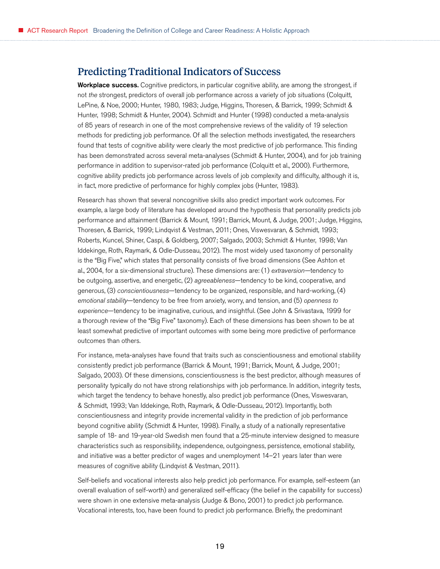# <span id="page-18-0"></span>Predicting Traditional Indicators of Success

**Workplace success.** Cognitive predictors, in particular cognitive ability, are among the strongest, if not *the* strongest, predictors of overall job performance across a variety of job situations (Colquitt, LePine, & Noe, 2000; Hunter, 1980, 1983; Judge, Higgins, Thoresen, & Barrick, 1999; Schmidt & Hunter, 1998; Schmidt & Hunter, 2004). Schmidt and Hunter (1998) conducted a meta-analysis of 85 years of research in one of the most comprehensive reviews of the validity of 19 selection methods for predicting job performance. Of all the selection methods investigated, the researchers found that tests of cognitive ability were clearly the most predictive of job performance. This finding has been demonstrated across several meta-analyses (Schmidt & Hunter, 2004), and for job training performance in addition to supervisor-rated job performance (Colquitt et al., 2000). Furthermore, cognitive ability predicts job performance across levels of job complexity and difficulty, although it is, in fact, more predictive of performance for highly complex jobs (Hunter, 1983).

Research has shown that several noncognitive skills also predict important work outcomes. For example, a large body of literature has developed around the hypothesis that personality predicts job performance and attainment (Barrick & Mount, 1991; Barrick, Mount, & Judge, 2001; Judge, Higgins, Thoresen, & Barrick, 1999; Lindqvist & Vestman, 2011; Ones, Viswesvaran, & Schmidt, 1993; Roberts, Kuncel, Shiner, Caspi, & Goldberg, 2007; Salgado, 2003; Schmidt & Hunter, 1998; Van Iddekinge, Roth, Raymark, & Odle-Dusseau, 2012). The most widely used taxonomy of personality is the "Big Five," which states that personality consists of five broad dimensions (See Ashton et al., 2004, for a six-dimensional structure). These dimensions are: (1) *extraversion—*tendency to be outgoing, assertive, and energetic, (2) *agreeableness*—tendency to be kind, cooperative, and generous, (3) *conscientiousness*—tendency to be organized, responsible, and hard-working, (4) *emotional stability*—tendency to be free from anxiety, worry, and tension, and (5) *openness to experience*—tendency to be imaginative, curious, and insightful. (See John & Srivastava, 1999 for a thorough review of the "Big Five" taxonomy). Each of these dimensions has been shown to be at least somewhat predictive of important outcomes with some being more predictive of performance outcomes than others.

For instance, meta-analyses have found that traits such as conscientiousness and emotional stability consistently predict job performance (Barrick & Mount, 1991; Barrick, Mount, & Judge, 2001; Salgado, 2003). Of these dimensions, conscientiousness is the best predictor, although measures of personality typically do not have strong relationships with job performance. In addition, integrity tests, which target the tendency to behave honestly, also predict job performance (Ones, Viswesvaran, & Schmidt, 1993; Van Iddekinge, Roth, Raymark, & Odle-Dusseau, 2012). Importantly, both conscientiousness and integrity provide incremental validity in the prediction of job performance beyond cognitive ability (Schmidt & Hunter, 1998). Finally, a study of a nationally representative sample of 18- and 19-year-old Swedish men found that a 25-minute interview designed to measure characteristics such as responsibility, independence, outgoingness, persistence, emotional stability, and initiative was a better predictor of wages and unemployment 14–21 years later than were measures of cognitive ability (Lindqvist & Vestman, 2011).

Self-beliefs and vocational interests also help predict job performance. For example, self-esteem (an overall evaluation of self-worth) and generalized self-efficacy (the belief in the capability for success) were shown in one extensive meta-analysis (Judge & Bono, 2001) to predict job performance. Vocational interests, too, have been found to predict job performance. Briefly, the predominant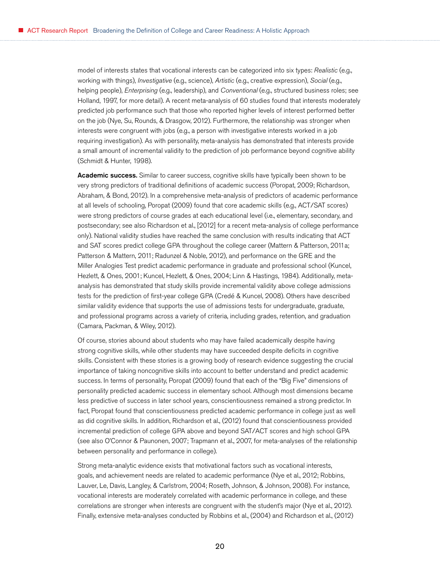model of interests states that vocational interests can be categorized into six types: *Realistic* (e.g., working with things), *Investigative* (e.g., science), *Artistic* (e.g., creative expression), *Social* (e.g., helping people), *Enterprising* (e.g., leadership), and *Conventional* (e.g., structured business roles; see Holland, 1997, for more detail). A recent meta-analysis of 60 studies found that interests moderately predicted job performance such that those who reported higher levels of interest performed better on the job (Nye, Su, Rounds, & Drasgow, 2012). Furthermore, the relationship was stronger when interests were congruent with jobs (e.g., a person with investigative interests worked in a job requiring investigation). As with personality, meta-analysis has demonstrated that interests provide a small amount of incremental validity to the prediction of job performance beyond cognitive ability (Schmidt & Hunter, 1998).

Academic success. Similar to career success, cognitive skills have typically been shown to be very strong predictors of traditional definitions of academic success (Poropat, 2009; Richardson, Abraham, & Bond, 2012). In a comprehensive meta-analysis of predictors of academic performance at all levels of schooling, Poropat (2009) found that core academic skills (e.g., ACT/SAT scores) were strong predictors of course grades at each educational level (i.e., elementary, secondary, and postsecondary; see also Richardson et al., [2012] for a recent meta-analysis of college performance only). National validity studies have reached the same conclusion with results indicating that ACT and SAT scores predict college GPA throughout the college career (Mattern & Patterson, 2011a; Patterson & Mattern, 2011; Radunzel & Noble, 2012), and performance on the GRE and the Miller Analogies Test predict academic performance in graduate and professional school (Kuncel, Hezlett, & Ones, 2001; Kuncel, Hezlett, & Ones, 2004; Linn & Hastings, 1984). Additionally, metaanalysis has demonstrated that study skills provide incremental validity above college admissions tests for the prediction of first-year college GPA (Credé & Kuncel, 2008). Others have described similar validity evidence that supports the use of admissions tests for undergraduate, graduate, and professional programs across a variety of criteria, including grades, retention, and graduation (Camara, Packman, & Wiley, 2012).

Of course, stories abound about students who may have failed academically despite having strong cognitive skills, while other students may have succeeded despite deficits in cognitive skills. Consistent with these stories is a growing body of research evidence suggesting the crucial importance of taking noncognitive skills into account to better understand and predict academic success. In terms of personality, Poropat (2009) found that each of the "Big Five" dimensions of personality predicted academic success in elementary school. Although most dimensions became less predictive of success in later school years, conscientiousness remained a strong predictor. In fact, Poropat found that conscientiousness predicted academic performance in college just as well as did cognitive skills. In addition, Richardson et al., (2012) found that conscientiousness provided incremental prediction of college GPA above and beyond SAT/ACT scores and high school GPA (see also O'Connor & Paunonen, 2007; Trapmann et al., 2007, for meta-analyses of the relationship between personality and performance in college).

Strong meta-analytic evidence exists that motivational factors such as vocational interests, goals, and achievement needs are related to academic performance (Nye et al., 2012; Robbins, Lauver, Le, Davis, Langley, & Carlstrom, 2004; Roseth, Johnson, & Johnson, 2008). For instance, vocational interests are moderately correlated with academic performance in college, and these correlations are stronger when interests are congruent with the student's major (Nye et al., 2012). Finally, extensive meta-analyses conducted by Robbins et al., (2004) and Richardson et al., (2012)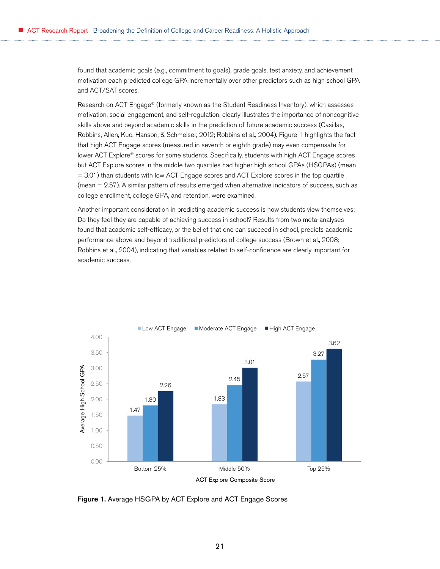found that academic goals (e.g., commitment to goals), grade goals, test anxiety, and achievement motivation each predicted college GPA incrementally over other predictors such as high school GPA and ACT/SAT scores.

Research on ACT Engage® (formerly known as the Student Readiness Inventory), which assesses motivation, social engagement, and self-regulation, clearly illustrates the importance of noncognitive skills above and beyond academic skills in the prediction of future academic success (Casillas, Robbins, Allen, Kuo, Hanson, & Schmeiser, 2012; Robbins et al., 2004). Figure 1 highlights the fact that high ACT Engage scores (measured in seventh or eighth grade) may even compensate for lower ACT Explore® scores for some students. Specifically, students with high ACT Engage scores but ACT Explore scores in the middle two quartiles had higher high school GPAs (HSGPAs) (mean = 3.01) than students with low ACT Engage scores and ACT Explore scores in the top quartile (mean = 2.57). A similar pattern of results emerged when alternative indicators of success, such as college enrollment, college GPA, and retention, were examined.

Another important consideration in predicting academic success is how students view themselves: Do they feel they are capable of achieving success in school? Results from two meta-analyses found that academic self-efficacy, or the belief that one can succeed in school, predicts academic performance above and beyond traditional predictors of college success (Brown et al., 2008; Robbins et al., 2004), indicating that variables related to self-confidence are clearly important for academic success.



Figure 1. Average HSGPA by ACT Explore and ACT Engage Scores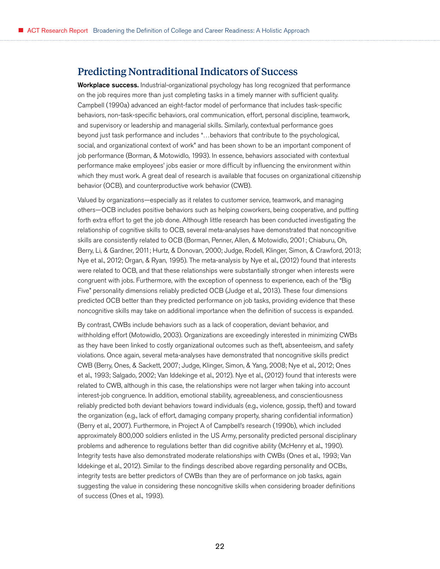## <span id="page-21-0"></span>Predicting Nontraditional Indicators of Success

**Workplace success.** Industrial-organizational psychology has long recognized that performance on the job requires more than just completing tasks in a timely manner with sufficient quality. Campbell (1990a) advanced an eight-factor model of performance that includes task-specific behaviors, non-task-specific behaviors, oral communication, effort, personal discipline, teamwork, and supervisory or leadership and managerial skills. Similarly, contextual performance goes beyond just task performance and includes "…behaviors that contribute to the psychological, social, and organizational context of work" and has been shown to be an important component of job performance (Borman, & Motowidlo, 1993). In essence, behaviors associated with contextual performance make employees' jobs easier or more difficult by influencing the environment within which they must work. A great deal of research is available that focuses on organizational citizenship behavior (OCB), and counterproductive work behavior (CWB).

Valued by organizations—especially as it relates to customer service, teamwork, and managing others—OCB includes positive behaviors such as helping coworkers, being cooperative, and putting forth extra effort to get the job done. Although little research has been conducted investigating the relationship of cognitive skills to OCB, several meta-analyses have demonstrated that noncognitive skills are consistently related to OCB (Borman, Penner, Allen, & Motowidlo, 2001; Chiaburu, Oh, Berry, Li, & Gardner, 2011; Hurtz, & Donovan, 2000; Judge, Rodell, Klinger, Simon, & Crawford, 2013; Nye et al., 2012; Organ, & Ryan, 1995). The meta-analysis by Nye et al., (2012) found that interests were related to OCB, and that these relationships were substantially stronger when interests were congruent with jobs. Furthermore, with the exception of openness to experience, each of the "Big Five" personality dimensions reliably predicted OCB (Judge et al., 2013). These four dimensions predicted OCB better than they predicted performance on job tasks, providing evidence that these noncognitive skills may take on additional importance when the definition of success is expanded.

By contrast, CWBs include behaviors such as a lack of cooperation, deviant behavior, and withholding effort (Motowidlo, 2003). Organizations are exceedingly interested in minimizing CWBs as they have been linked to costly organizational outcomes such as theft, absenteeism, and safety violations. Once again, several meta-analyses have demonstrated that noncognitive skills predict CWB (Berry, Ones, & Sackett, 2007; Judge, Klinger, Simon, & Yang, 2008; Nye et al., 2012; Ones et al., 1993; Salgado, 2002; Van Iddekinge et al., 2012). Nye et al., (2012) found that interests were related to CWB, although in this case, the relationships were not larger when taking into account interest-job congruence. In addition, emotional stability, agreeableness, and conscientiousness reliably predicted both deviant behaviors toward individuals (e.g., violence, gossip, theft) and toward the organization (e.g., lack of effort, damaging company property, sharing confidential information) (Berry et al., 2007). Furthermore, in Project A of Campbell's research (1990b), which included approximately 800,000 soldiers enlisted in the US Army, personality predicted personal disciplinary problems and adherence to regulations better than did cognitive ability (McHenry et al., 1990). Integrity tests have also demonstrated moderate relationships with CWBs (Ones et al., 1993; Van Iddekinge et al., 2012). Similar to the findings described above regarding personality and OCBs, integrity tests are better predictors of CWBs than they are of performance on job tasks, again suggesting the value in considering these noncognitive skills when considering broader definitions of success (Ones et al., 1993).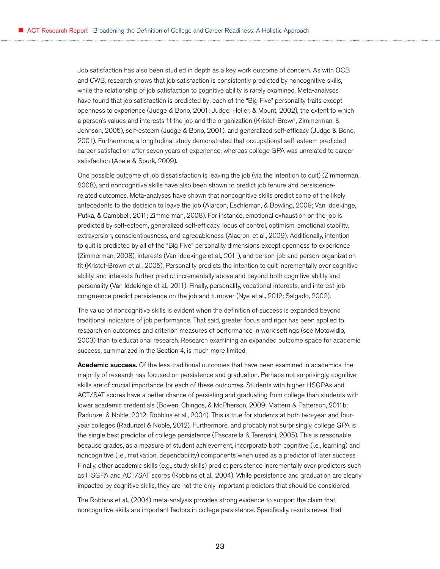Job satisfaction has also been studied in depth as a key work outcome of concern. As with OCB and CWB, research shows that job satisfaction is consistently predicted by noncognitive skills, while the relationship of job satisfaction to cognitive ability is rarely examined. Meta-analyses have found that job satisfaction is predicted by: each of the "Big Five" personality traits except openness to experience (Judge & Bono, 2001; Judge, Heller, & Mount, 2002), the extent to which a person's values and interests fit the job and the organization (Kristof-Brown, Zimmerman, & Johnson, 2005), self-esteem (Judge & Bono, 2001), and generalized self-efficacy (Judge & Bono, 2001). Furthermore, a longitudinal study demonstrated that occupational self-esteem predicted career satisfaction after seven years of experience, whereas college GPA was unrelated to career satisfaction (Abele & Spurk, 2009).

One possible outcome of job dissatisfaction is leaving the job (via the intention to quit) (Zimmerman, 2008), and noncognitive skills have also been shown to predict job tenure and persistencerelated outcomes. Meta-analyses have shown that noncognitive skills predict some of the likely antecedents to the decision to leave the job (Alarcon, Eschleman, & Bowling, 2009; Van Iddekinge, Putka, & Campbell, 2011; Zimmerman, 2008). For instance, emotional exhaustion on the job is predicted by self-esteem, generalized self-efficacy, locus of control, optimism, emotional stability, extraversion, conscientiousness, and agreeableness (Alacron, et al., 2009). Additionally, intention to quit is predicted by all of the "Big Five" personality dimensions except openness to experience (Zimmerman, 2008), interests (Van Iddekinge et al., 2011), and person-job and person-organization fit (Kristof-Brown et al., 2005). Personality predicts the intention to quit incrementally over cognitive ability, and interests further predict incrementally above and beyond both cognitive ability and personality (Van Iddekinge et al., 2011). Finally, personality, vocational interests, and interest-job congruence predict persistence on the job and turnover (Nye et al., 2012; Salgado, 2002).

The value of noncognitive skills is evident when the definition of success is expanded beyond traditional indicators of job performance. That said, greater focus and rigor has been applied to research on outcomes and criterion measures of performance in work settings (see Motowidlo, 2003) than to educational research. Research examining an expanded outcome space for academic success, summarized in the Section 4, is much more limited.

Academic success. Of the less-traditional outcomes that have been examined in academics, the majority of research has focused on persistence and graduation. Perhaps not surprisingly, cognitive skills are of crucial importance for each of these outcomes. Students with higher HSGPAs and ACT/SAT scores have a better chance of persisting and graduating from college than students with lower academic credentials (Bowen, Chingos, & McPherson, 2009; Mattern & Patterson, 2011b; Radunzel & Noble, 2012; Robbins et al., 2004). This is true for students at both two-year and fouryear colleges (Radunzel & Noble, 2012). Furthermore, and probably not surprisingly, college GPA is the single best predictor of college persistence (Pascarella & Terenzini, 2005). This is reasonable because grades, as a measure of student achievement, incorporate both cognitive (i.e., learning) and noncognitive (i.e., motivation, dependability) components when used as a predictor of later success. Finally, other academic skills (e.g., study skills) predict persistence incrementally over predictors such as HSGPA and ACT/SAT scores (Robbins et al., 2004). While persistence and graduation are clearly impacted by cognitive skills, they are not the only important predictors that should be considered.

The Robbins et al., (2004) meta-analysis provides strong evidence to support the claim that noncognitive skills are important factors in college persistence. Specifically, results reveal that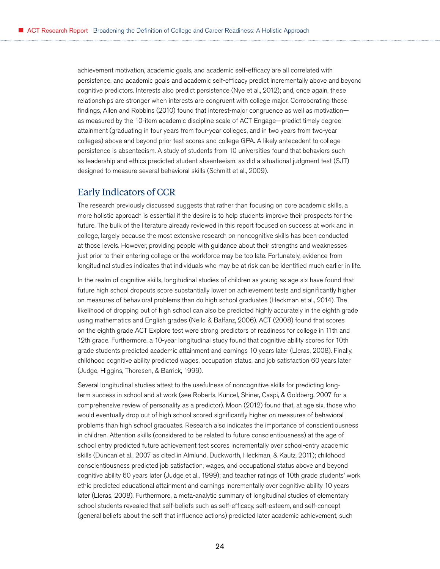<span id="page-23-0"></span>achievement motivation, academic goals, and academic self-efficacy are all correlated with persistence, and academic goals and academic self-efficacy predict incrementally above and beyond cognitive predictors. Interests also predict persistence (Nye et al., 2012); and, once again, these relationships are stronger when interests are congruent with college major. Corroborating these findings, Allen and Robbins (2010) found that interest-major congruence as well as motivation as measured by the 10-item academic discipline scale of ACT Engage—predict timely degree attainment (graduating in four years from four-year colleges, and in two years from two-year colleges) above and beyond prior test scores and college GPA. A likely antecedent to college persistence is absenteeism. A study of students from 10 universities found that behaviors such as leadership and ethics predicted student absenteeism, as did a situational judgment test (SJT) designed to measure several behavioral skills (Schmitt et al., 2009).

### Early Indicators of CCR

The research previously discussed suggests that rather than focusing on core academic skills, a more holistic approach is essential if the desire is to help students improve their prospects for the future. The bulk of the literature already reviewed in this report focused on success at work and in college, largely because the most extensive research on noncognitive skills has been conducted at those levels. However, providing people with guidance about their strengths and weaknesses just prior to their entering college or the workforce may be too late. Fortunately, evidence from longitudinal studies indicates that individuals who may be at risk can be identified much earlier in life.

In the realm of cognitive skills, longitudinal studies of children as young as age six have found that future high school dropouts score substantially lower on achievement tests and significantly higher on measures of behavioral problems than do high school graduates (Heckman et al., 2014). The likelihood of dropping out of high school can also be predicted highly accurately in the eighth grade using mathematics and English grades (Neild & Balfanz, 2006). ACT (2008) found that scores on the eighth grade ACT Explore test were strong predictors of readiness for college in 11th and 12th grade. Furthermore, a 10-year longitudinal study found that cognitive ability scores for 10th grade students predicted academic attainment and earnings 10 years later (Lleras, 2008). Finally, childhood cognitive ability predicted wages, occupation status, and job satisfaction 60 years later (Judge, Higgins, Thoresen, & Barrick, 1999).

Several longitudinal studies attest to the usefulness of noncognitive skills for predicting longterm success in school and at work (see Roberts, Kuncel, Shiner, Caspi, & Goldberg, 2007 for a comprehensive review of personality as a predictor). Moon (2012) found that, at age six, those who would eventually drop out of high school scored significantly higher on measures of behavioral problems than high school graduates. Research also indicates the importance of conscientiousness in children. Attention skills (considered to be related to future conscientiousness) at the age of school entry predicted future achievement test scores incrementally over school-entry academic skills (Duncan et al., 2007 as cited in Almlund, Duckworth, Heckman, & Kautz, 2011); childhood conscientiousness predicted job satisfaction, wages, and occupational status above and beyond cognitive ability 60 years later (Judge et al., 1999); and teacher ratings of 10th grade students' work ethic predicted educational attainment and earnings incrementally over cognitive ability 10 years later (Lleras, 2008). Furthermore, a meta-analytic summary of longitudinal studies of elementary school students revealed that self-beliefs such as self-efficacy, self-esteem, and self-concept (general beliefs about the self that influence actions) predicted later academic achievement, such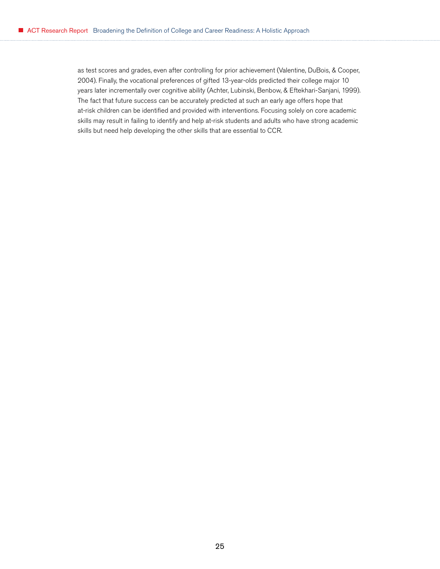as test scores and grades, even after controlling for prior achievement (Valentine, DuBois, & Cooper, 2004). Finally, the vocational preferences of gifted 13-year-olds predicted their college major 10 years later incrementally over cognitive ability (Achter, Lubinski, Benbow, & Eftekhari-Sanjani, 1999). The fact that future success can be accurately predicted at such an early age offers hope that at-risk children can be identified and provided with interventions. Focusing solely on core academic skills may result in failing to identify and help at-risk students and adults who have strong academic skills but need help developing the other skills that are essential to CCR.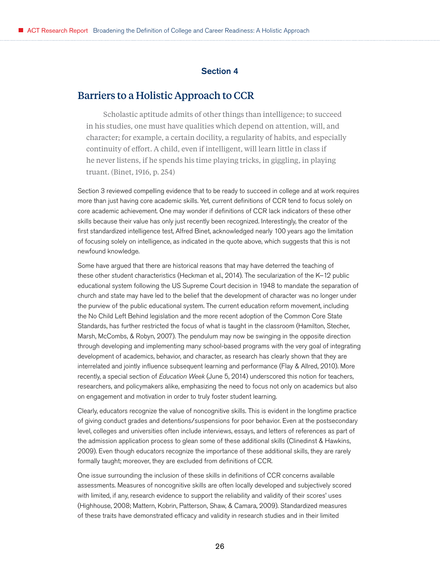#### Section 4

# <span id="page-25-0"></span>Barriers to a Holistic Approach to CCR

Scholastic aptitude admits of other things than intelligence; to succeed in his studies, one must have qualities which depend on attention, will, and character; for example, a certain docility, a regularity of habits, and especially continuity of effort. A child, even if intelligent, will learn little in class if he never listens, if he spends his time playing tricks, in giggling, in playing truant. (Binet, 1916, p. 254)

Section 3 reviewed compelling evidence that to be ready to succeed in college and at work requires more than just having core academic skills. Yet, current definitions of CCR tend to focus solely on core academic achievement. One may wonder if definitions of CCR lack indicators of these other skills because their value has only just recently been recognized. Interestingly, the creator of the first standardized intelligence test, Alfred Binet, acknowledged nearly 100 years ago the limitation of focusing solely on intelligence, as indicated in the quote above, which suggests that this is not newfound knowledge.

Some have argued that there are historical reasons that may have deterred the teaching of these other student characteristics (Heckman et al., 2014). The secularization of the K–12 public educational system following the US Supreme Court decision in 1948 to mandate the separation of church and state may have led to the belief that the development of character was no longer under the purview of the public educational system. The current education reform movement, including the No Child Left Behind legislation and the more recent adoption of the Common Core State Standards, has further restricted the focus of what is taught in the classroom (Hamilton, Stecher, Marsh, McCombs, & Robyn, 2007). The pendulum may now be swinging in the opposite direction through developing and implementing many school-based programs with the very goal of integrating development of academics, behavior, and character, as research has clearly shown that they are interrelated and jointly influence subsequent learning and performance (Flay & Allred, 2010). More recently, a special section of *Education Week* (June 5, 2014) underscored this notion for teachers, researchers, and policymakers alike, emphasizing the need to focus not only on academics but also on engagement and motivation in order to truly foster student learning.

Clearly, educators recognize the value of noncognitive skills. This is evident in the longtime practice of giving conduct grades and detentions/suspensions for poor behavior. Even at the postsecondary level, colleges and universities often include interviews, essays, and letters of references as part of the admission application process to glean some of these additional skills (Clinedinst & Hawkins, 2009). Even though educators recognize the importance of these additional skills, they are rarely formally taught; moreover, they are excluded from definitions of CCR.

One issue surrounding the inclusion of these skills in definitions of CCR concerns available assessments. Measures of noncognitive skills are often locally developed and subjectively scored with limited, if any, research evidence to support the reliability and validity of their scores' uses (Highhouse, 2008; Mattern, Kobrin, Patterson, Shaw, & Camara, 2009). Standardized measures of these traits have demonstrated efficacy and validity in research studies and in their limited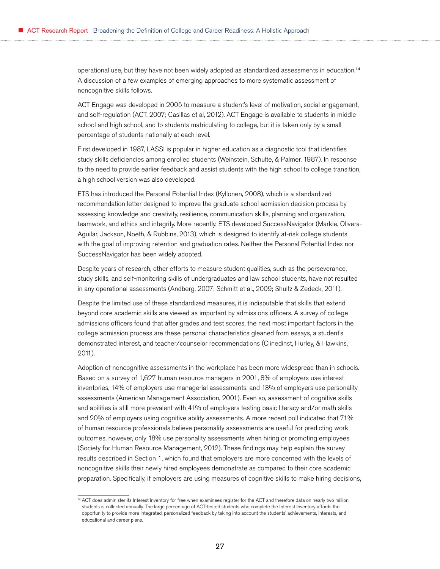operational use, but they have not been widely adopted as standardized assessments in education.<sup>14</sup> A discussion of a few examples of emerging approaches to more systematic assessment of noncognitive skills follows.

ACT Engage was developed in 2005 to measure a student's level of motivation, social engagement, and self-regulation (ACT, 2007; Casillas et al, 2012). ACT Engage is available to students in middle school and high school, and to students matriculating to college, but it is taken only by a small percentage of students nationally at each level.

First developed in 1987, LASSI is popular in higher education as a diagnostic tool that identifies study skills deficiencies among enrolled students (Weinstein, Schulte, & Palmer, 1987). In response to the need to provide earlier feedback and assist students with the high school to college transition, a high school version was also developed.

ETS has introduced the Personal Potential Index (Kyllonen, 2008), which is a standardized recommendation letter designed to improve the graduate school admission decision process by assessing knowledge and creativity, resilience, communication skills, planning and organization, teamwork, and ethics and integrity. More recently, ETS developed SuccessNavigator (Markle, Olivera-Aguilar, Jackson, Noeth, & Robbins, 2013), which is designed to identify at-risk college students with the goal of improving retention and graduation rates. Neither the Personal Potential Index nor SuccessNavigator has been widely adopted.

Despite years of research, other efforts to measure student qualities, such as the perseverance, study skills, and self-monitoring skills of undergraduates and law school students, have not resulted in any operational assessments (Andberg, 2007; Schmitt et al., 2009; Shultz & Zedeck, 2011).

Despite the limited use of these standardized measures, it is indisputable that skills that extend beyond core academic skills are viewed as important by admissions officers. A survey of college admissions officers found that after grades and test scores, the next most important factors in the college admission process are these personal characteristics gleaned from essays, a student's demonstrated interest, and teacher/counselor recommendations (Clinedinst, Hurley, & Hawkins, 2011).

Adoption of noncognitive assessments in the workplace has been more widespread than in schools. Based on a survey of 1,627 human resource managers in 2001, 8% of employers use interest inventories, 14% of employers use managerial assessments, and 13% of employers use personality assessments (American Management Association, 2001). Even so, assessment of cognitive skills and abilities is still more prevalent with 41% of employers testing basic literacy and/or math skills and 20% of employers using cognitive ability assessments. A more recent poll indicated that 71% of human resource professionals believe personality assessments are useful for predicting work outcomes, however, only 18% use personality assessments when hiring or promoting employees (Society for Human Resource Management, 2012). These findings may help explain the survey results described in Section 1, which found that employers are more concerned with the levels of noncognitive skills their newly hired employees demonstrate as compared to their core academic preparation. Specifically, if employers are using measures of cognitive skills to make hiring decisions,

<sup>&</sup>lt;sup>14</sup> ACT does administer its Interest Inventory for free when examinees register for the ACT and therefore data on nearly two million students is collected annually. The large percentage of ACT-tested students who complete the Interest Inventory affords the opportunity to provide more integrated, personalized feedback by taking into account the students' achievements, interests, and educational and career plans.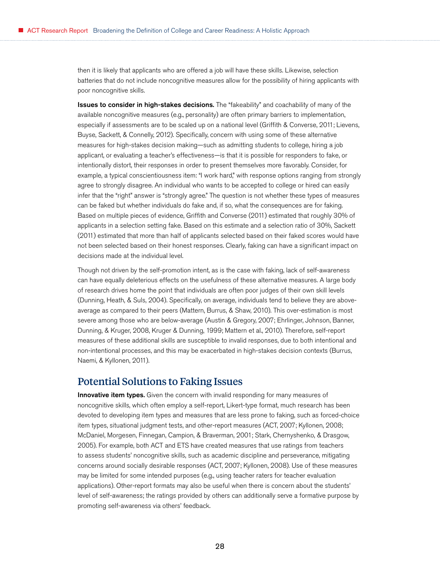<span id="page-27-0"></span>then it is likely that applicants who are offered a job will have these skills. Likewise, selection batteries that do not include noncognitive measures allow for the possibility of hiring applicants with poor noncognitive skills.

**Issues to consider in high-stakes decisions.** The "fakeability" and coachability of many of the available noncognitive measures (e.g., personality) are often primary barriers to implementation, especially if assessments are to be scaled up on a national level (Griffith & Converse, 2011; Lievens, Buyse, Sackett, & Connelly, 2012). Specifically, concern with using some of these alternative measures for high-stakes decision making—such as admitting students to college, hiring a job applicant, or evaluating a teacher's effectiveness—is that it is possible for responders to fake, or intentionally distort, their responses in order to present themselves more favorably. Consider, for example, a typical conscientiousness item: "I work hard," with response options ranging from strongly agree to strongly disagree. An individual who wants to be accepted to college or hired can easily infer that the "right" answer is "strongly agree." The question is not whether these types of measures can be faked but whether individuals do fake and, if so, what the consequences are for faking. Based on multiple pieces of evidence, Griffith and Converse (2011) estimated that roughly 30% of applicants in a selection setting fake. Based on this estimate and a selection ratio of 30%, Sackett (2011) estimated that more than half of applicants selected based on their faked scores would have not been selected based on their honest responses. Clearly, faking can have a significant impact on decisions made at the individual level.

Though not driven by the self-promotion intent, as is the case with faking, lack of self-awareness can have equally deleterious effects on the usefulness of these alternative measures. A large body of research drives home the point that individuals are often poor judges of their own skill levels (Dunning, Heath, & Suls, 2004). Specifically, on average, individuals tend to believe they are aboveaverage as compared to their peers (Mattern, Burrus, & Shaw, 2010). This over-estimation is most severe among those who are below-average (Austin & Gregory, 2007; Ehrlinger, Johnson, Banner, Dunning, & Kruger, 2008, Kruger & Dunning, 1999; Mattern et al., 2010). Therefore, self-report measures of these additional skills are susceptible to invalid responses, due to both intentional and non-intentional processes, and this may be exacerbated in high-stakes decision contexts (Burrus, Naemi, & Kyllonen, 2011).

## Potential Solutions to Faking Issues

**Innovative item types.** Given the concern with invalid responding for many measures of noncognitive skills, which often employ a self-report, Likert-type format, much research has been devoted to developing item types and measures that are less prone to faking, such as forced-choice item types, situational judgment tests, and other-report measures (ACT, 2007; Kyllonen, 2008; McDaniel, Morgesen, Finnegan, Campion, & Braverman, 2001; Stark, Chernyshenko, & Drasgow, 2005). For example, both ACT and ETS have created measures that use ratings from teachers to assess students' noncognitive skills, such as academic discipline and perseverance, mitigating concerns around socially desirable responses (ACT, 2007; Kyllonen, 2008). Use of these measures may be limited for some intended purposes (e.g., using teacher raters for teacher evaluation applications). Other-report formats may also be useful when there is concern about the students' level of self-awareness; the ratings provided by others can additionally serve a formative purpose by promoting self-awareness via others' feedback.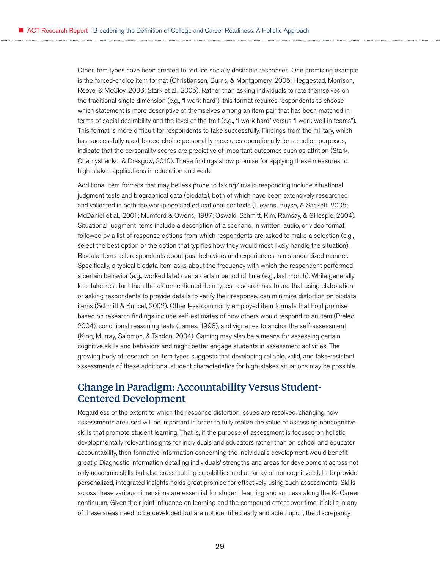<span id="page-28-0"></span>Other item types have been created to reduce socially desirable responses. One promising example is the forced-choice item format (Christiansen, Burns, & Montgomery, 2005; Heggestad, Morrison, Reeve, & McCloy, 2006; Stark et al., 2005). Rather than asking individuals to rate themselves on the traditional single dimension (e.g., "I work hard"), this format requires respondents to choose which statement is more descriptive of themselves among an item pair that has been matched in terms of social desirability and the level of the trait (e.g., "I work hard" versus "I work well in teams"). This format is more difficult for respondents to fake successfully. Findings from the military, which has successfully used forced-choice personality measures operationally for selection purposes, indicate that the personality scores are predictive of important outcomes such as attrition (Stark, Chernyshenko, & Drasgow, 2010). These findings show promise for applying these measures to high-stakes applications in education and work.

Additional item formats that may be less prone to faking/invalid responding include situational judgment tests and biographical data (biodata), both of which have been extensively researched and validated in both the workplace and educational contexts (Lievens, Buyse, & Sackett, 2005; McDaniel et al., 2001; Mumford & Owens, 1987; Oswald, Schmitt, Kim, Ramsay, & Gillespie, 2004). Situational judgment items include a description of a scenario, in written, audio, or video format, followed by a list of response options from which respondents are asked to make a selection (e.g., select the best option or the option that typifies how they would most likely handle the situation). Biodata items ask respondents about past behaviors and experiences in a standardized manner. Specifically, a typical biodata item asks about the frequency with which the respondent performed a certain behavior (e.g., worked late) over a certain period of time (e.g., last month). While generally less fake-resistant than the aforementioned item types, research has found that using elaboration or asking respondents to provide details to verify their response, can minimize distortion on biodata items (Schmitt & Kuncel, 2002). Other less-commonly employed item formats that hold promise based on research findings include self-estimates of how others would respond to an item (Prelec, 2004), conditional reasoning tests (James, 1998), and vignettes to anchor the self-assessment (King, Murray, Salomon, & Tandon, 2004). Gaming may also be a means for assessing certain cognitive skills and behaviors and might better engage students in assessment activities. The growing body of research on item types suggests that developing reliable, valid, and fake-resistant assessments of these additional student characteristics for high-stakes situations may be possible.

# Change in Paradigm: Accountability Versus Student-Centered Development

Regardless of the extent to which the response distortion issues are resolved, changing how assessments are used will be important in order to fully realize the value of assessing noncognitive skills that promote student learning. That is, if the purpose of assessment is focused on holistic, developmentally relevant insights for individuals and educators rather than on school and educator accountability, then formative information concerning the individual's development would benefit greatly. Diagnostic information detailing individuals' strengths and areas for development across not only academic skills but also cross-cutting capabilities and an array of noncognitive skills to provide personalized, integrated insights holds great promise for effectively using such assessments. Skills across these various dimensions are essential for student learning and success along the K–Career continuum. Given their joint influence on learning and the compound effect over time, if skills in any of these areas need to be developed but are not identified early and acted upon, the discrepancy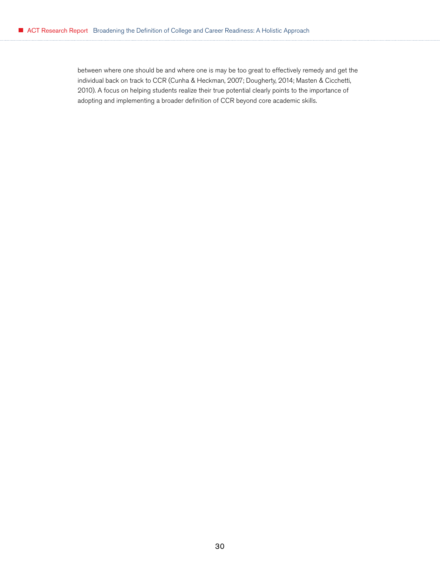between where one should be and where one is may be too great to effectively remedy and get the individual back on track to CCR (Cunha & Heckman, 2007; Dougherty, 2014; Masten & Cicchetti, 2010). A focus on helping students realize their true potential clearly points to the importance of adopting and implementing a broader definition of CCR beyond core academic skills.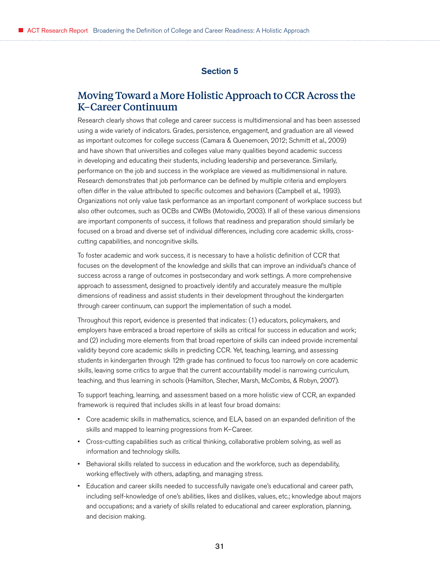#### Section 5

# <span id="page-30-0"></span>Moving Toward a More Holistic Approach to CCR Across the K–Career Continuum

Research clearly shows that college and career success is multidimensional and has been assessed using a wide variety of indicators. Grades, persistence, engagement, and graduation are all viewed as important outcomes for college success (Camara & Quenemoen, 2012; Schmitt et al., 2009) and have shown that universities and colleges value many qualities beyond academic success in developing and educating their students, including leadership and perseverance. Similarly, performance on the job and success in the workplace are viewed as multidimensional in nature. Research demonstrates that job performance can be defined by multiple criteria and employers often differ in the value attributed to specific outcomes and behaviors (Campbell et al., 1993). Organizations not only value task performance as an important component of workplace success but also other outcomes, such as OCBs and CWBs (Motowidlo, 2003). If all of these various dimensions are important components of success, it follows that readiness and preparation should similarly be focused on a broad and diverse set of individual differences, including core academic skills, crosscutting capabilities, and noncognitive skills.

To foster academic and work success, it is necessary to have a holistic definition of CCR that focuses on the development of the knowledge and skills that can improve an individual's chance of success across a range of outcomes in postsecondary and work settings. A more comprehensive approach to assessment, designed to proactively identify and accurately measure the multiple dimensions of readiness and assist students in their development throughout the kindergarten through career continuum, can support the implementation of such a model.

Throughout this report, evidence is presented that indicates: (1) educators, policymakers, and employers have embraced a broad repertoire of skills as critical for success in education and work; and (2) including more elements from that broad repertoire of skills can indeed provide incremental validity beyond core academic skills in predicting CCR. Yet, teaching, learning, and assessing students in kindergarten through 12th grade has continued to focus too narrowly on core academic skills, leaving some critics to argue that the current accountability model is narrowing curriculum, teaching, and thus learning in schools (Hamilton, Stecher, Marsh, McCombs, & Robyn, 2007).

To support teaching, learning, and assessment based on a more holistic view of CCR, an expanded framework is required that includes skills in at least four broad domains:

- Core academic skills in mathematics, science, and ELA, based on an expanded definition of the skills and mapped to learning progressions from K–Career.
- Cross-cutting capabilities such as critical thinking, collaborative problem solving, as well as information and technology skills.
- Behavioral skills related to success in education and the workforce, such as dependability, working effectively with others, adapting, and managing stress.
- Education and career skills needed to successfully navigate one's educational and career path, including self-knowledge of one's abilities, likes and dislikes, values, etc.; knowledge about majors and occupations; and a variety of skills related to educational and career exploration, planning, and decision making.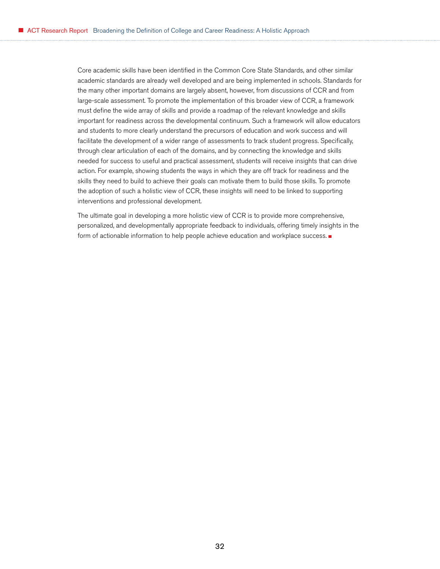Core academic skills have been identified in the Common Core State Standards, and other similar academic standards are already well developed and are being implemented in schools. Standards for the many other important domains are largely absent, however, from discussions of CCR and from large-scale assessment. To promote the implementation of this broader view of CCR, a framework must define the wide array of skills and provide a roadmap of the relevant knowledge and skills important for readiness across the developmental continuum. Such a framework will allow educators and students to more clearly understand the precursors of education and work success and will facilitate the development of a wider range of assessments to track student progress. Specifically, through clear articulation of each of the domains, and by connecting the knowledge and skills needed for success to useful and practical assessment, students will receive insights that can drive action. For example, showing students the ways in which they are off track for readiness and the skills they need to build to achieve their goals can motivate them to build those skills. To promote the adoption of such a holistic view of CCR, these insights will need to be linked to supporting interventions and professional development.

The ultimate goal in developing a more holistic view of CCR is to provide more comprehensive, personalized, and developmentally appropriate feedback to individuals, offering timely insights in the form of actionable information to help people achieve education and workplace success.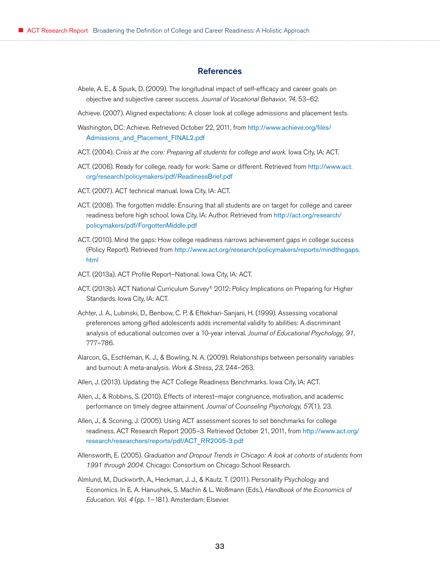#### **References**

- <span id="page-32-0"></span>Abele, A. E., & Spurk, D. (2009). The longitudinal impact of self-efficacy and career goals on objective and subjective career success. *Journal of Vocational Behavior*, *74*, 53–62.
- Achieve. (2007). Aligned expectations: A closer look at college admissions and placement tests.
- Washington, DC: Achieve. Retrieved October 22, 2011, from [http://www.achieve.org/files/](http://www.achieve.org/files/Admissions_and_Placement_FINAL2.pdf) [Admissions\\_and\\_Placement\\_FINAL2.pdf](http://www.achieve.org/files/Admissions_and_Placement_FINAL2.pdf)
- ACT. (2004). *Crisis at the core: Preparing all students for college and work.* Iowa City, IA: ACT.
- ACT. (2006). Ready for college, ready for work: Same or different. Retrieved from [http://www.act.](http://www.act.org/research/policymakers/pdf/ReadinessBrief.pdf) [org/research/policymakers/pdf/ReadinessBrief.pdf](http://www.act.org/research/policymakers/pdf/ReadinessBrief.pdf)
- ACT. (2007). ACT technical manual. Iowa City, IA: ACT.
- ACT. (2008). The forgotten middle: Ensuring that all students are on target for college and career readiness before high school. Iowa City, IA: Author. Retrieved from [http://act.org/research/](http://act.org/research/policymakers/pdf/ForgottenMiddle.pdf) [policymakers/pdf/ForgottenMiddle.pdf](http://act.org/research/policymakers/pdf/ForgottenMiddle.pdf)
- ACT. (2010). Mind the gaps: How college readiness narrows achievement gaps in college success (Policy Report). Retrieved from [http://www.act.org/research/policymakers/reports/mindthegaps.](http://www.act.org/research/policymakers/reports/mindthegaps.html) [html](http://www.act.org/research/policymakers/reports/mindthegaps.html)
- ACT. (2013a). ACT Profile Report–National. Iowa City, IA: ACT.
- ACT. (2013b). ACT National Curriculum Survey® 2012: Policy Implications on Preparing for Higher Standards. Iowa City, IA: ACT.
- Achter, J. A., Lubinski, D., Benbow, C. P, & Eftekhari-Sanjani, H. (1999). Assessing vocational preferences among gifted adolescents adds incremental validity to abilities: A discriminant analysis of educational outcomes over a 10-year interval. *Journal of Educational Psychology, 91,* 777–786.
- Alarcon, G., Eschleman, K. J., & Bowling, N. A. (2009). Relationships between personality variables and burnout: A meta-analysis. *Work & Stress*, *23*, 244–263.
- Allen, J. (2013). Updating the ACT College Readiness Benchmarks. Iowa City, IA: ACT.
- Allen, J., & Robbins, S. (2010). Effects of interest–major congruence, motivation, and academic performance on timely degree attainment. *Journal of Counseling Psychology, 57*(1)*,* 23.
- Allen, J., & Sconing, J. (2005). Using ACT assessment scores to set benchmarks for college readiness. ACT Research Report 2005–3. Retrieved October 21, 2011, from [http://www.act.org/](http://www.act.org/research/researchers/reports/pdf/ACT_RR2005-3.pdf) [research/researchers/reports/pdf/ACT\\_RR2005-3.pdf](http://www.act.org/research/researchers/reports/pdf/ACT_RR2005-3.pdf)
- Allensworth, E. (2005). *Graduation and Dropout Trends in Chicago: A look at cohorts of students from 1991 through 2004.* Chicago: Consortium on Chicago School Research.
- Almlund, M., Duckworth, A., Heckman, J. J., & Kautz, T. (2011). Personality Psychology and Economics. In E. A. Hanushek, S. Machin & L. Woßmann (Eds.), *Handbook of the Economics of Education. Vol. 4* (pp. 1–181). Amsterdam: Elsevier.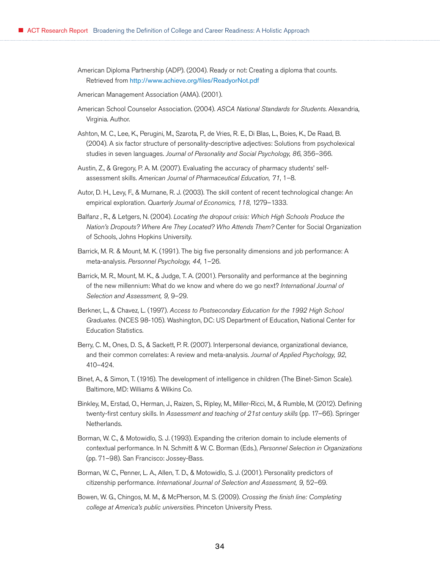American Diploma Partnership (ADP). (2004). Ready or not: Creating a diploma that counts. Retrieved from <http://www.achieve.org/files/ReadyorNot.pdf>

American Management Association (AMA). (2001).

- American School Counselor Association. (2004). *ASCA National Standards for Students*. Alexandria, Virginia. Author.
- Ashton, M. C., Lee, K., Perugini, M., Szarota, P., de Vries, R. E., Di Blas, L., Boies, K., De Raad, B. (2004). A six factor structure of personality-descriptive adjectives: Solutions from psycholexical studies in seven languages. *Journal of Personality and Social Psychology, 86*, 356–366.
- Austin, Z., & Gregory, P. A. M. (2007). Evaluating the accuracy of pharmacy students' selfassessment skills. *American Journal of Pharmaceutical Education, 71*, 1–8.
- Autor, D. H., Levy, F., & Murnane, R. J. (2003). The skill content of recent technological change: An empirical exploration. *Quarterly Journal of Economics, 118*, 1279–1333.
- Balfanz , R., & Letgers, N. (2004). *Locating the dropout crisis: Which High Schools Produce the Nation's Dropouts? Where Are They Located? Who Attends Them?* Center for Social Organization of Schools, Johns Hopkins University.
- Barrick, M. R. & Mount, M. K. (1991). The big five personality dimensions and job performance: A meta-analysis. *Personnel Psychology, 44,* 1–26.
- Barrick, M. R., Mount, M. K., & Judge, T. A. (2001). Personality and performance at the beginning of the new millennium: What do we know and where do we go next? *International Journal of Selection and Assessment, 9,* 9–29.
- Berkner, L., & Chavez, L. (1997). *Access to Postsecondary Education for the 1992 High School Graduates.* (NCES 98-105). Washington, DC: US Department of Education, National Center for Education Statistics.
- Berry, C. M., Ones, D. S., & Sackett, P. R. (2007). Interpersonal deviance, organizational deviance, and their common correlates: A review and meta-analysis. *Journal of Applied Psychology, 92*, 410–424.
- Binet, A., & Simon, T. (1916). The development of intelligence in children (The Binet-Simon Scale). Baltimore, MD: Williams & Wilkins Co.
- Binkley, M., Erstad, O., Herman, J., Raizen, S., Ripley, M., Miller-Ricci, M., & Rumble, M. (2012). Defining twenty-first century skills. In *Assessment and teaching of 21st century skills* (pp. 17–66). Springer Netherlands.
- Borman, W. C., & Motowidlo, S. J. (1993). Expanding the criterion domain to include elements of contextual performance. In N. Schmitt & W. C. Borman (Eds.), *Personnel Selection in Organizations*  (pp. 71–98). San Francisco: Jossey-Bass.
- Borman, W. C., Penner, L. A., Allen, T. D., & Motowidlo, S. J. (2001). Personality predictors of citizenship performance. *International Journal of Selection and Assessment, 9,* 52–69.
- Bowen, W. G., Chingos, M. M., & McPherson, M. S. (2009). *Crossing the finish line: Completing college at America's public universities*. Princeton University Press.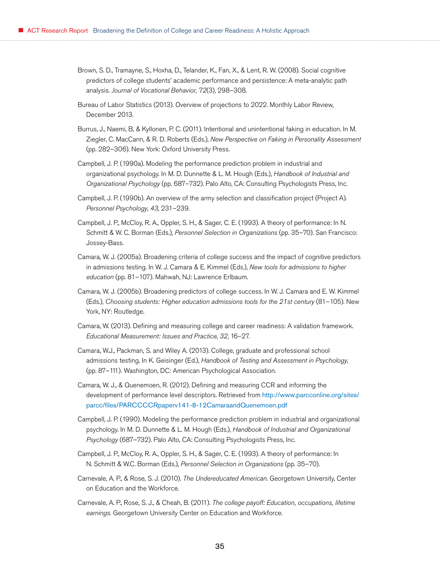- Brown, S. D., Tramayne, S., Hoxha, D., Telander, K., Fan, X., & Lent, R. W. (2008). Social cognitive predictors of college students' academic performance and persistence: A meta-analytic path analysis. *Journal of Vocational Behavior*, *72*(3), 298–308.
- Bureau of Labor Statistics (2013). Overview of projections to 2022. Monthly Labor Review, December 2013.
- Burrus, J., Naemi, B, & Kyllonen, P. C. (2011). Intentional and unintentional faking in education. In M. Ziegler, C. MacCann, & R. D. Roberts (Eds.), *New Perspective on Faking in Personality Assessment*  (pp. 282–306). New York: Oxford University Press.
- Campbell, J. P. (1990a). Modeling the performance prediction problem in industrial and organizational psychology. In M. D. Dunnette & L. M. Hough (Eds.), *Handbook of Industrial and Organizational Psychology* (pp. 687–732). Palo Alto, CA: Consulting Psychologists Press, Inc.
- Campbell, J. P. (1990b). An overview of the army selection and classification project (Project A). *Personnel Psychology*, *43*, 231–239.
- Campbell, J. P., McCloy, R. A., Oppler, S. H., & Sager, C. E. (1993). A theory of performance: In N. Schmitt & W. C. Borman (Eds.), *Personnel Selection in Organizations* (pp. 35–70). San Francisco: Jossey-Bass.
- Camara, W. J. (2005a). Broadening criteria of college success and the impact of cognitive predictors in admissions testing. In W. J. Camara & E. Kimmel (Eds.), *New tools for admissions to higher education* (pp. 81–107). Mahwah, NJ: Lawrence Erlbaum.
- Camara, W. J. (2005b). Broadening predictors of college success. In W. J. Camara and E. W. Kimmel (Eds.), *Choosing students: Higher education admissions tools for the 21st century* (81–105). New York, NY: Routledge.
- Camara, W. (2013). Defining and measuring college and career readiness: A validation framework. *Educational Measurement: Issues and Practice*, *32*, 16–27.
- Camara, W.J., Packman, S. and Wiley A. (2013). College, graduate and professional school admissions testing. In K. Geisinger (Ed.), *Handbook of Testing and Assessment in Psychology*, (pp. 87–111)*.* Washington, DC: American Psychological Association.
- Camara, W. J., & Quenemoen, R. (2012). Defining and measuring CCR and informing the development of performance level descriptors. Retrieved from [http://www.parcconline.org/sites/](http://www.parcconline.org/sites/parcc/files/PARCCCCRpaperv141-8-12CamaraandQuenemoen.pdf) [parcc/files/PARCCCCRpaperv141-8-12CamaraandQuenemoen.pdf](http://www.parcconline.org/sites/parcc/files/PARCCCCRpaperv141-8-12CamaraandQuenemoen.pdf)
- Campbell, J. P. (1990). Modeling the performance prediction problem in industrial and organizational psychology. In M. D. Dunnette & L. M. Hough (Eds.), *Handbook of Industrial and Organizational Psychology* (687–732). Palo Alto, CA: Consulting Psychologists Press, Inc.
- Campbell, J. P., McCloy, R. A., Oppler, S. H., & Sager, C. E. (1993). A theory of performance: In N. Schmitt & W.C. Borman (Eds.), *Personnel Selection in Organizations* (pp. 35–70).
- Carnevale, A. P., & Rose, S. J. (2010). *The Undereducated American*. Georgetown University, Center on Education and the Workforce.
- Carnevale, A. P., Rose, S. J., & Cheah, B. (2011). *The college payoff: Education, occupations, lifetime earnings.* Georgetown University Center on Education and Workforce.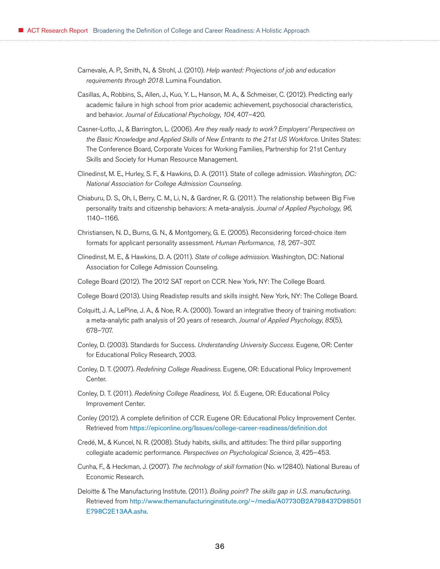- Carnevale, A. P., Smith, N., & Strohl, J. (2010). *Help wanted: Projections of job and education requirements through 2018*. Lumina Foundation.
- Casillas, A., Robbins, S., Allen, J., Kuo, Y. L., Hanson, M. A., & Schmeiser, C. (2012). Predicting early academic failure in high school from prior academic achievement, psychosocial characteristics, and behavior. *Journal of Educational Psychology*, *104*, 407–420.
- Casner-Lotto, J., & Barrington, L. (2006). *Are they really ready to work? Employers' Perspectives on the Basic Knowledge and Applied Skills of New Entrants to the 21st US Workforce.* Unites States: The Conference Board, Corporate Voices for Working Families, Partnership for 21st Century Skills and Society for Human Resource Management.
- Clinedinst, M. E., Hurley, S. F., & Hawkins, D. A. (2011). State of college admission. *Washington, DC: National Association for College Admission Counseling*.
- Chiaburu, D. S., Oh, I., Berry, C. M., Li, N., & Gardner, R. G. (2011). The relationship between Big Five personality traits and citizenship behaviors: A meta-analysis. *Journal of Applied Psychology, 96,* 1140–1166.
- Christiansen, N. D., Burns, G. N., & Montgomery, G. E. (2005). Reconsidering forced-choice item formats for applicant personality assessment. *Human Performance, 18,* 267–307.
- Clinedinst, M. E., & Hawkins, D. A. (2011). *State of college admission.* Washington, DC: National Association for College Admission Counseling*.*
- College Board (2012). The 2012 SAT report on CCR. New York, NY: The College Board.
- College Board (2013). Using Readistep results and skills insight. New York, NY: The College Board.
- Colquitt, J. A., LePine, J. A., & Noe, R. A. (2000). Toward an integrative theory of training motivation: a meta-analytic path analysis of 20 years of research. *Journal of Applied Psychology*, *85*(5), 678–707.
- Conley, D. (2003). Standards for Success. *Understanding University Success.* Eugene, OR: Center for Educational Policy Research, 2003.
- Conley, D. T. (2007). *Redefining College Readiness*. Eugene, OR: Educational Policy Improvement Center.
- Conley, D. T. (2011). *Redefining College Readiness, Vol. 5*. Eugene, OR: Educational Policy Improvement Center.
- Conley (2012). A complete definition of CCR. Eugene OR: Educational Policy Improvement Center. Retrieved from <https://epiconline.org/Issues/college-career-readiness/definition.dot>
- Credé, M., & Kuncel, N. R. (2008). Study habits, skills, and attitudes: The third pillar supporting collegiate academic performance. *Perspectives on Psychological Science*, *3*, 425–453.
- Cunha, F., & Heckman, J. (2007). *The technology of skill formation* (No. w12840). National Bureau of Economic Research.
- Deloitte & The Manufacturing Institute. (2011). *Boiling point? The skills gap in U.S. manufacturing.* Retrieved from [http://www.themanufacturinginstitute.org/~/media/A07730B2A798437D98501](http://www.themanufacturinginstitute.org/~/media/A07730B2A798437D98501E798C2E13AA.ashx) [E798C2E13AA.ashx](http://www.themanufacturinginstitute.org/~/media/A07730B2A798437D98501E798C2E13AA.ashx).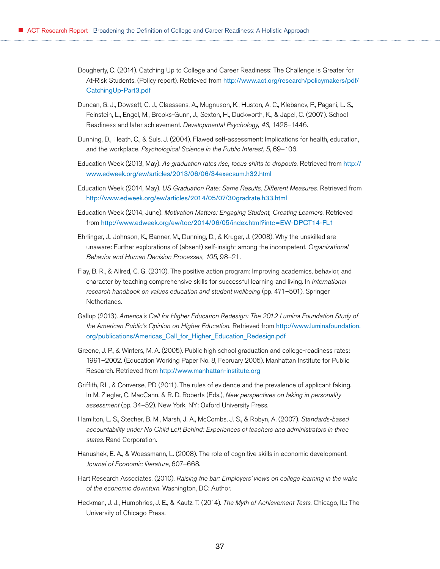- Dougherty, C. (2014). Catching Up to College and Career Readiness: The Challenge is Greater for At-Risk Students. (Policy report). Retrieved from [http://www.act.org/research/policymakers/pdf/](http://www.act.org/research/policymakers/pdf/CatchingUp-Part3.pdf) [CatchingUp-Part3.pdf](http://www.act.org/research/policymakers/pdf/CatchingUp-Part3.pdf)
- Duncan, G. J., Dowsett, C. J., Claessens, A., Mugnuson, K., Huston, A. C., Klebanov, P., Pagani, L. S., Feinstein, L., Engel, M., Brooks-Gunn, J., Sexton, H., Duckworth, K., & Japel, C. (2007). School Readiness and later achievement. *Developmental Psychology, 43,* 1428–1446.
- Dunning, D., Heath, C., & Suls, J. (2004). Flawed self-assessment: Implications for health, education, and the workplace. *Psychological Science in the Public Interest, 5*, 69–106.
- Education Week (2013, May). *As graduation rates rise, focus shifts to dropouts.* Retrieved from [http://](http://www.edweek.org/ew/articles/2013/06/06/34execsum.h32.html) [www.edweek.org/ew/articles/2013/06/06/34execsum.h32.html](http://www.edweek.org/ew/articles/2013/06/06/34execsum.h32.html)
- Education Week (2014, May). *US Graduation Rate: Same Results, Different Measures.* Retrieved from <http://www.edweek.org/ew/articles/2014/05/07/30gradrate.h33.html>
- Education Week (2014, June). *Motivation Matters: Engaging Student, Creating Learners.* Retrieved from <http://www.edweek.org/ew/toc/2014/06/05/index.html?intc=EW-DPCT14-FL1>
- Ehrlinger, J., Johnson, K., Banner, M., Dunning, D., & Kruger, J. (2008). Why the unskilled are unaware: Further explorations of (absent) self-insight among the incompetent. *Organizational Behavior and Human Decision Processes, 105*, 98–21.
- Flay, B. R., & Allred, C. G. (2010). The positive action program: Improving academics, behavior, and character by teaching comprehensive skills for successful learning and living. In *International research handbook on values education and student wellbeing* (pp. 471–501). Springer Netherlands.
- Gallup (2013). *America's Call for Higher Education Redesign: The 2012 Lumina Foundation Study of the American Public's Opinion on Higher Education.* Retrieved from [http://www.luminafoundation.](http://www.luminafoundation.org/publications/Americas_Call_for_Higher_Education_Redesign.pdf) [org/publications/Americas\\_Call\\_for\\_Higher\\_Education\\_Redesign.pdf](http://www.luminafoundation.org/publications/Americas_Call_for_Higher_Education_Redesign.pdf)
- Greene, J. P., & Winters, M. A. (2005). Public high school graduation and college-readiness rates: 1991–2002. (Education Working Paper No. 8, February 2005). Manhattan Institute for Public Research. Retrieved from <http://www.manhattan-institute.org>
- Griffith, RL, & Converse, PD (2011). The rules of evidence and the prevalence of applicant faking. In M. Ziegler, C. MacCann, & R. D. Roberts (Eds.), *New perspectives on faking in personality assessment* (pp. 34–52). New York, NY: Oxford University Press.
- Hamilton, L. S., Stecher, B. M., Marsh, J. A., McCombs, J. S., & Robyn, A. (2007). *Standards-based accountability under No Child Left Behind: Experiences of teachers and administrators in three states*. Rand Corporation.
- Hanushek, E. A., & Woessmann, L. (2008). The role of cognitive skills in economic development. *Journal of Economic literature*, 607–668.
- Hart Research Associates. (2010). *Raising the bar: Employers' views on college learning in the wake of the economic downturn*. Washington, DC: Author.
- Heckman, J. J., Humphries, J. E., & Kautz, T. (2014). *The Myth of Achievement Tests.* Chicago, IL: The University of Chicago Press.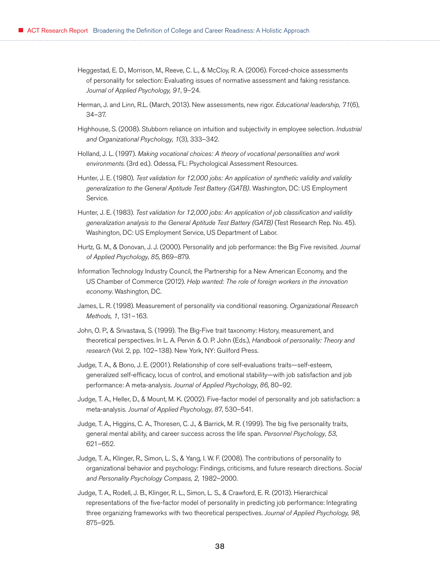- Heggestad, E. D., Morrison, M., Reeve, C. L., & McCloy, R. A. (2006). Forced-choice assessments of personality for selection: Evaluating issues of normative assessment and faking resistance. *Journal of Applied Psychology, 91*, 9–24.
- Herman, J. and Linn, R.L. (March, 2013). New assessments, new rigor. *Educational leadership, 71*(6), 34–37.
- Highhouse, S. (2008). Stubborn reliance on intuition and subjectivity in employee selection. *Industrial and Organizational Psychology, 1*(3), 333–342.
- Holland, J. L. (1997). *Making vocational choices: A theory of vocational personalities and work environments*. (3rd ed.)*.* Odessa, FL: Psychological Assessment Resources.
- Hunter, J. E. (1980). *Test validation for 12,000 jobs: An application of synthetic validity and validity generalization to the General Aptitude Test Battery (GATB).* Washington, DC: US Employment Service.
- Hunter, J. E. (1983). *Test validation for 12,000 jobs: An application of job classification and validity generalization analysis to the General Aptitude Test Battery (GATB)* (Test Research Rep. No. 45). Washington, DC: US Employment Service, US Department of Labor.
- Hurtz, G. M., & Donovan, J. J. (2000). Personality and job performance: the Big Five revisited. *Journal of Applied Psychology*, *85*, 869–879.
- Information Technology Industry Council, the Partnership for a New American Economy, and the US Chamber of Commerce (2012). *Help wanted: The role of foreign workers in the innovation economy*. Washington, DC.
- James, L. R. (1998). Measurement of personality via conditional reasoning. *Organizational Research Methods, 1*, 131–163.
- John, O. P., & Srivastava, S. (1999). The Big-Five trait taxonomy: History, measurement, and theoretical perspectives. In L. A. Pervin & O. P. John (Eds.), *Handbook of personality: Theory and research* (Vol. 2, pp. 102–138). New York, NY: Guilford Press.
- Judge, T. A., & Bono, J. E. (2001). Relationship of core self-evaluations traits—self-esteem, generalized self-efficacy, locus of control, and emotional stability—with job satisfaction and job performance: A meta-analysis. *Journal of Applied Psychology*, *86*, 80–92.
- Judge, T. A., Heller, D., & Mount, M. K. (2002). Five-factor model of personality and job satisfaction: a meta-analysis. *Journal of Applied Psychology*, *87*, 530–541.
- Judge, T. A., Higgins, C. A., Thoresen, C. J., & Barrick, M. R. (1999). The big five personality traits, general mental ability, and career success across the life span. *Personnel Psychology*, *53*, 621–652.
- Judge, T. A., Klinger, R., Simon, L. S., & Yang, I. W. F. (2008). The contributions of personality to organizational behavior and psychology: Findings, criticisms, and future research directions. *Social and Personality Psychology Compass, 2,* 1982–2000.
- Judge, T. A., Rodell, J. B., Klinger, R. L., Simon, L. S., & Crawford, E. R. (2013). Hierarchical representations of the five-factor model of personality in predicting job performance: Integrating three organizing frameworks with two theoretical perspectives. *Journal of Applied Psychology, 98,*  875–925.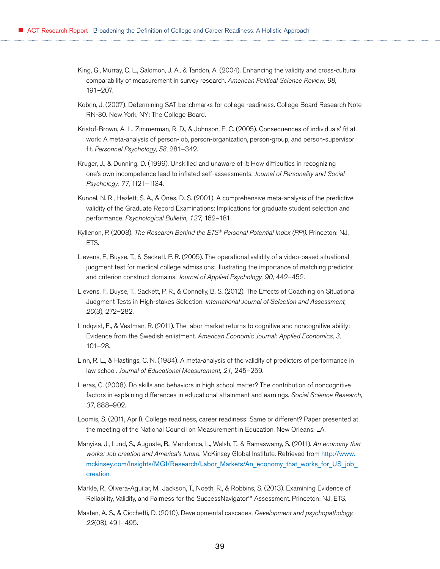- King, G., Murray, C. L., Salomon, J. A., & Tandon, A. (2004). Enhancing the validity and cross-cultural comparability of measurement in survey research. *American Political Science Review, 98*, 191–207.
- Kobrin, J. (2007). Determining SAT benchmarks for college readiness. College Board Research Note RN-30. New York, NY: The College Board.
- Kristof-Brown, A. L., Zimmerman, R. D., & Johnson, E. C. (2005). Consequences of individuals' fit at work: A meta-analysis of person-job, person-organization, person-group, and person-supervisor fit. *Personnel Psychology*, *58*, 281–342.
- Kruger, J., & Dunning, D. (1999). Unskilled and unaware of it: How difficulties in recognizing one's own incompetence lead to inflated self-assessments. *Journal of Personality and Social Psychology, 77*, 1121–1134.
- Kuncel, N. R., Hezlett, S. A., & Ones, D. S. (2001). A comprehensive meta-analysis of the predictive validity of the Graduate Record Examinations: Implications for graduate student selection and performance. *Psychological Bulletin, 127,* 162–181.
- Kyllenon, P. (2008). *The Research Behind the ETS® Personal Potential Index (PPI)*. Princeton: NJ, ETS.
- Lievens, F., Buyse, T., & Sackett, P. R. (2005). The operational validity of a video-based situational judgment test for medical college admissions: Illustrating the importance of matching predictor and criterion construct domains. *Journal of Applied Psychology, 90,* 442–452.
- Lievens, F., Buyse, T., Sackett, P. R., & Connelly, B. S. (2012). The Effects of Coaching on Situational Judgment Tests in High-stakes Selection. *International Journal of Selection and Assessment, 20*(3), 272–282.
- Lindqvist, E., & Vestman, R. (2011). The labor market returns to cognitive and noncognitive ability: Evidence from the Swedish enlistment. *American Economic Journal: Applied Economics*, *3,* 101–28.
- Linn, R. L., & Hastings, C. N. (1984). A meta-analysis of the validity of predictors of performance in law school. *Journal of Educational Measurement, 21,* 245–259.
- Lleras, C. (2008). Do skills and behaviors in high school matter? The contribution of noncognitive factors in explaining differences in educational attainment and earnings. *Social Science Research*, *37*, 888–902.
- Loomis, S. (2011, April). College readiness, career readiness: Same or different? Paper presented at the meeting of the National Council on Measurement in Education, New Orleans, LA.
- Manyika, J., Lund, S., Auguste, B., Mendonca, L., Welsh, T., & Ramaswamy, S. (2011). *An economy that works: Job creation and America's future.* McKinsey Global Institute. Retrieved from [http://www.](http://www.mckinsey.com/Insights/MGI/Research/Labor_Markets/An_economy_that_works_for_US_job_creation) [mckinsey.com/Insights/MGI/Research/Labor\\_Markets/An\\_economy\\_that\\_works\\_for\\_US\\_job\\_](http://www.mckinsey.com/Insights/MGI/Research/Labor_Markets/An_economy_that_works_for_US_job_creation) [creation](http://www.mckinsey.com/Insights/MGI/Research/Labor_Markets/An_economy_that_works_for_US_job_creation).
- Markle, R., Olivera-Aguilar, M., Jackson, T., Noeth, R., & Robbins, S. (2013). Examining Evidence of Reliability, Validity, and Fairness for the SuccessNavigator™ Assessment. Princeton: NJ, ETS.
- Masten, A. S., & Cicchetti, D. (2010). Developmental cascades. *Development and psychopathology*, *22*(03), 491–495.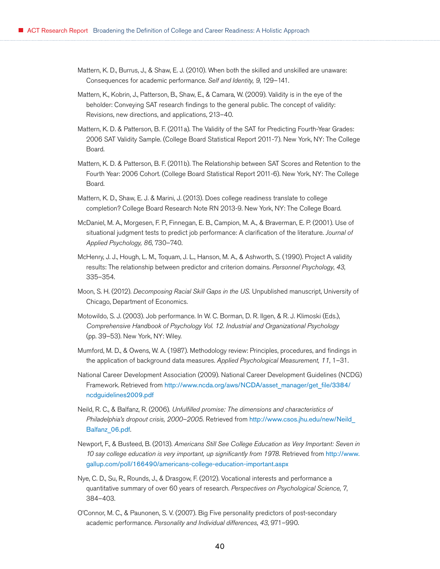- Mattern, K. D., Burrus, J., & Shaw, E. J. (2010). When both the skilled and unskilled are unaware: Consequences for academic performance. *Self and Identity, 9*, 129–141.
- Mattern, K., Kobrin, J., Patterson, B., Shaw, E., & Camara, W. (2009). Validity is in the eye of the beholder: Conveying SAT research findings to the general public. The concept of validity: Revisions, new directions, and applications, 213–40.
- Mattern, K. D. & Patterson, B. F. (2011a). The Validity of the SAT for Predicting Fourth-Year Grades: 2006 SAT Validity Sample. (College Board Statistical Report 2011-7). New York, NY: The College Board.
- Mattern, K. D. & Patterson, B. F. (2011b). The Relationship between SAT Scores and Retention to the Fourth Year: 2006 Cohort. (College Board Statistical Report 2011-6). New York, NY: The College Board.
- Mattern, K. D., Shaw, E. J. & Marini, J. (2013). Does college readiness translate to college completion? College Board Research Note RN 2013-9. New York, NY: The College Board.
- McDaniel, M. A., Morgesen, F. P., Finnegan, E. B., Campion, M. A., & Braverman, E. P. (2001). Use of situational judgment tests to predict job performance: A clarification of the literature. *Journal of Applied Psychology, 86*, 730–740.
- McHenry, J. J., Hough, L. M., Toquam, J. L., Hanson, M. A., & Ashworth, S. (1990). Project A validity results: The relationship between predictor and criterion domains. *Personnel Psychology*, *43*, 335–354.
- Moon, S. H. (2012). *Decomposing Racial Skill Gaps in the US.* Unpublished manuscript, University of Chicago, Department of Economics.
- Motowildo, S. J. (2003). Job performance. In W. C. Borman, D. R. Ilgen, & R. J. Klimoski (Eds.), *Comprehensive Handbook of Psychology Vol. 12*. *Industrial and Organizational Psychology* (pp. 39–53). New York, NY: Wiley.
- Mumford, M. D., & Owens, W. A. (1987). Methodology review: Principles, procedures, and findings in the application of background data measures. *Applied Psychological Measurement, 11*, 1–31.
- National Career Development Association (2009). National Career Development Guidelines (NCDG) Framework. Retrieved from [http://www.ncda.org/aws/NCDA/asset\\_manager/get\\_file/3384/](http://www.ncda.org/aws/NCDA/asset_manager/get_file/3384/ncdguidelines2009.pdf) [ncdguidelines2009.pdf](http://www.ncda.org/aws/NCDA/asset_manager/get_file/3384/ncdguidelines2009.pdf)
- Neild, R. C., & Balfanz, R. (2006). *Unfulfilled promise: The dimensions and characteristics of Philadelphia's dropout crisis, 2000–2005.* Retrieved from [http://www.csos.jhu.edu/new/Neild\\_](http://www.csos.jhu.edu/new/Neild_Balfanz_06.pdf) [Balfanz\\_06.pdf](http://www.csos.jhu.edu/new/Neild_Balfanz_06.pdf).
- Newport, F., & Busteed, B. (2013). *Americans Still See College Education as Very Important: Seven in 10 say college education is very important, up significantly from 1978.* Retrieved from [http://www.](http://www.gallup.com/poll/166490/americans-college-education-important.aspx) [gallup.com/poll/166490/americans-college-education-important.aspx](http://www.gallup.com/poll/166490/americans-college-education-important.aspx)
- Nye, C. D., Su, R., Rounds, J., & Drasgow, F. (2012). Vocational interests and performance a quantitative summary of over 60 years of research. *Perspectives on Psychological Science*, *7*, 384–403.
- O'Connor, M. C., & Paunonen, S. V. (2007). Big Five personality predictors of post-secondary academic performance. *Personality and Individual differences*, *43*, 971–990.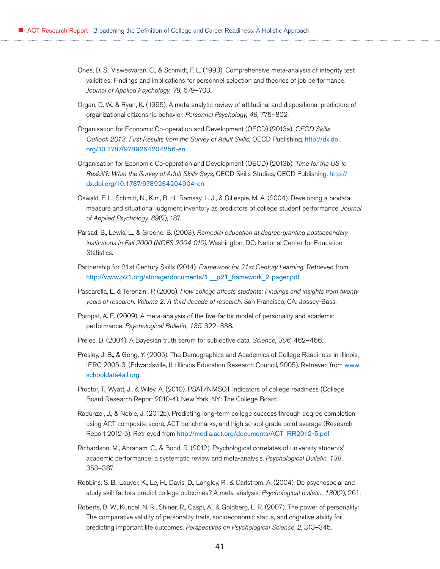- Ones, D. S., Viswesvaran, C., & Schmidt, F. L. (1993). Comprehensive meta-analysis of integrity test validities: Findings and implications for personnel selection and theories of job performance. *Journal of Applied Psychology, 78,* 679–703.
- Organ, D. W., & Ryan, K. (1995). A meta-analytic review of attitudinal and dispositional predictors of organizational citizenship behavior. *Personnel Psychology, 48*, 775–802.
- Organisation for Economic Co-operation and Development (OECD) (2013a). *OECD Skills Outlook 2013: First Results from the Survey of Adult Skills,* OECD Publishing. [http://dx.doi.](http://dx.doi.org/10.1787/9789264204256-en) [org/10.1787/9789264204256-en](http://dx.doi.org/10.1787/9789264204256-en)
- Organisation for Economic Co-operation and Development (OECD) (2013b). *Time for the US to Reskill?: What the Survey of Adult Skills Says*, OECD Skills Studies, OECD Publishing. [http://](http://dx.doi.org/10.1787/9789264204904-en) [dx.doi.org/10.1787/9789264204904-en](http://dx.doi.org/10.1787/9789264204904-en)
- Oswald, F. L., Schmitt, N., Kim, B. H., Ramsay, L. J., & Gillespie, M. A. (2004). Developing a biodata measure and situational judgment inventory as predictors of college student performance. *Journal of Applied Psychology, 89*(2), 187.
- Parsad, B., Lewis, L., & Greene, B. (2003). *Remedial education at degree-granting postsecondary institutions in Fall 2000 (NCES 2004-010)*. Washington, DC: National Center for Education Statistics.
- Partnership for 21st Century Skills (2014). *Framework for 21st Century Learning.* Retrieved from [http://www.p21.org/storage/documents/1.\\_\\_p21\\_framework\\_2-pager.pdf](http://www.p21.org/storage/documents/1.__p21_framework_2-pager.pdf)
- Pascarella, E. & Terenzini, P. (2005). *How college affects students: Findings and insights from twenty years of research. Volume 2: A third decade of research.* San Francisco, CA: Jossey-Bass.
- Poropat, A. E. (2009). A meta-analysis of the five-factor model of personality and academic performance. *Psychological Bulletin, 135*, 322–338.
- Prelec, D. (2004). A Bayesian truth serum for subjective data. *Science, 306,* 462–466.
- Presley, J. B., & Gong, Y. (2005). The Demographics and Academics of College Readiness in Illinois, IERC 2005-3, (Edwardsville, IL: Illinois Education Research Council, 2005). Retrieved from [www.](www.schooldata4all.org) [schooldata4all.org](www.schooldata4all.org).
- Proctor, T., Wyatt, J., & Wiley, A. (2010). PSAT/NMSQT Indicators of college readiness (College Board Research Report 2010-4). New York, NY: The College Board.
- Radunzel, J., & Noble, J. (2012b). Predicting long-term college success through degree completion using ACT composite score, ACT benchmarks, and high school grade point average (Research Report 2012-5). Retrieved from [http://media.act.org/documents/ACT\\_RR2012-5.pdf](http://media.act.org/documents/ACT_RR2012-5.pdf)
- Richardson, M., Abraham, C., & Bond, R. (2012). Psychological correlates of university students' academic performance: a systematic review and meta-analysis. *Psychological Bulletin*, *138*, 353–387.
- Robbins, S. B., Lauver, K., Le, H., Davis, D., Langley, R., & Carlstrom, A. (2004). Do psychosocial and study skill factors predict college outcomes? A meta-analysis. *Psychological bulletin, 130*(2), 261.
- Roberts, B. W., Kuncel, N. R., Shiner, R., Caspi, A., & Goldberg, L. R. (2007). The power of personality: The comparative validity of personality traits, socioeconomic status, and cognitive ability for predicting important life outcomes. *Perspectives on Psychological Science*, *2*, 313–345.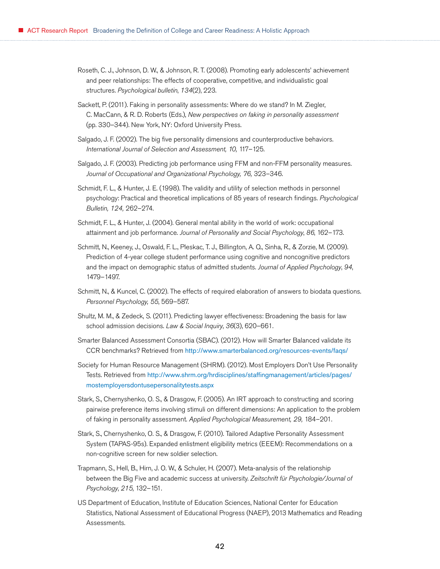- Roseth, C. J., Johnson, D. W., & Johnson, R. T. (2008). Promoting early adolescents' achievement and peer relationships: The effects of cooperative, competitive, and individualistic goal structures. *Psychological bulletin*, *134*(2), 223.
- Sackett, P. (2011). Faking in personality assessments: Where do we stand? In M. Ziegler, C. MacCann, & R. D. Roberts (Eds.), *New perspectives on faking in personality assessment* (pp. 330–344). New York, NY: Oxford University Press.
- Salgado, J. F. (2002). The big five personality dimensions and counterproductive behaviors. *International Journal of Selection and Assessment, 10,* 117–125.
- Salgado, J. F. (2003). Predicting job performance using FFM and non-FFM personality measures. *Journal of Occupational and Organizational Psychology, 76,* 323–346.
- Schmidt, F. L., & Hunter, J. E. (1998). The validity and utility of selection methods in personnel psychology: Practical and theoretical implications of 85 years of research findings. *Psychological Bulletin, 124,* 262–274.
- Schmidt, F. L., & Hunter, J. (2004). General mental ability in the world of work: occupational attainment and job performance. *Journal of Personality and Social Psychology*, *86*, 162–173.
- Schmitt, N., Keeney, J., Oswald, F. L., Pleskac, T. J., Billington, A. Q., Sinha, R., & Zorzie, M. (2009). Prediction of 4-year college student performance using cognitive and noncognitive predictors and the impact on demographic status of admitted students. *Journal of Applied Psychology*, *94*, 1479–1497.
- Schmitt, N., & Kuncel, C. (2002). The effects of required elaboration of answers to biodata questions. *Personnel Psychology, 55*, 569–587.
- Shultz, M. M., & Zedeck, S. (2011). Predicting lawyer effectiveness: Broadening the basis for law school admission decisions. *Law & Social Inquiry*, *36*(3), 620–661.
- Smarter Balanced Assessment Consortia (SBAC). (2012). How will Smarter Balanced validate its CCR benchmarks? Retrieved from <http://www.smarterbalanced.org/resources-events/faqs/>
- Society for Human Resource Management (SHRM). (2012). Most Employers Don't Use Personality Tests. Retrieved from [http://www.shrm.org/hrdisciplines/staffingmanagement/articles/pages/](http://www.shrm.org/hrdisciplines/staffingmanagement/articles/pages/mostemployersdontusepersonalitytests.aspx) [mostemployersdontusepersonalitytests.aspx](http://www.shrm.org/hrdisciplines/staffingmanagement/articles/pages/mostemployersdontusepersonalitytests.aspx)
- Stark, S., Chernyshenko, O. S., & Drasgow, F. (2005). An IRT approach to constructing and scoring pairwise preference items involving stimuli on different dimensions: An application to the problem of faking in personality assessment. *Applied Psychological Measurement, 29,* 184–201.
- Stark, S., Chernyshenko, O. S., & Drasgow, F. (2010). Tailored Adaptive Personality Assessment System (TAPAS-95s). Expanded enlistment eligibility metrics (EEEM): Recommendations on a non-cognitive screen for new soldier selection.
- Trapmann, S., Hell, B., Hirn, J. O. W., & Schuler, H. (2007). Meta-analysis of the relationship between the Big Five and academic success at university. *Zeitschrift für Psychologie/Journal of Psychology*, *215*, 132–151.
- US Department of Education, Institute of Education Sciences, National Center for Education Statistics, National Assessment of Educational Progress (NAEP), 2013 Mathematics and Reading Assessments.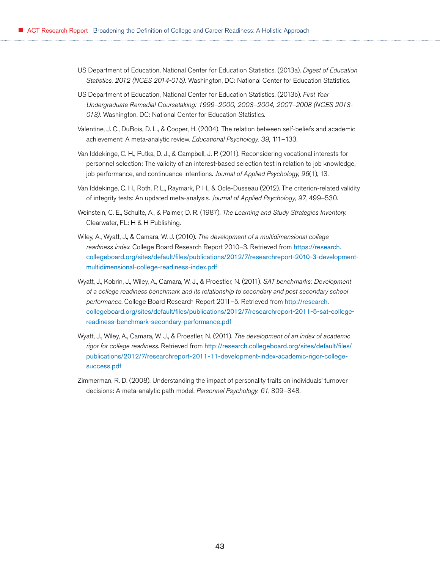- US Department of Education, National Center for Education Statistics. (2013a). *Digest of Education Statistics, 2012 (NCES 2014-015).* Washington, DC: National Center for Education Statistics.
- US Department of Education, National Center for Education Statistics. (2013b). *First Year Undergraduate Remedial Coursetaking: 1999–2000, 2003–2004, 2007–2008 (NCES 2013- 013).* Washington, DC: National Center for Education Statistics.
- Valentine, J. C., DuBois, D. L., & Cooper, H. (2004). The relation between self-beliefs and academic achievement: A meta-analytic review. *Educational Psychology, 39,* 111–133.
- Van Iddekinge, C. H., Putka, D. J., & Campbell, J. P. (2011). Reconsidering vocational interests for personnel selection: The validity of an interest-based selection test in relation to job knowledge, job performance, and continuance intentions. *Journal of Applied Psychology*, *96*(1), 13.
- Van Iddekinge, C. H., Roth, P. L., Raymark, P. H., & Odle-Dusseau (2012). The criterion-related validity of integrity tests: An updated meta-analysis. *Journal of Applied Psychology, 97,* 499–530.
- Weinstein, C. E., Schulte, A., & Palmer, D. R. (1987). *The Learning and Study Strategies Inventory.* Clearwater, FL: H & H Publishing.
- Wiley, A., Wyatt, J., & Camara, W. J. (2010). *The development of a multidimensional college readiness index*. College Board Research Report 2010–3. Retrieved from [https://research.](https://research.collegeboard.org/sites/default/files/publications/2012/7/researchreport-2010-3-development-multidimensional-college-readiness-index.pdf) [collegeboard.org/sites/default/files/publications/2012/7/researchreport-2010-3-development](https://research.collegeboard.org/sites/default/files/publications/2012/7/researchreport-2010-3-development-multidimensional-college-readiness-index.pdf)[multidimensional-college-readiness-index.pdf](https://research.collegeboard.org/sites/default/files/publications/2012/7/researchreport-2010-3-development-multidimensional-college-readiness-index.pdf)
- Wyatt, J., Kobrin, J., Wiley, A., Camara, W. J., & Proestler, N. (2011). *SAT benchmarks: Development of a college readiness benchmark and its relationship to secondary and post secondary school performance*. College Board Research Report 2011–5. Retrieved from [http://research.](http://research.collegeboard.org/sites/default/files/publications/2012/7/researchreport-2011-5-sat-college-readiness-benchmark-secondary-performance.pdf) [collegeboard.org/sites/default/files/publications/2012/7/researchreport-2011-5-sat-college](http://research.collegeboard.org/sites/default/files/publications/2012/7/researchreport-2011-5-sat-college-readiness-benchmark-secondary-performance.pdf)[readiness-benchmark-secondary-performance.pdf](http://research.collegeboard.org/sites/default/files/publications/2012/7/researchreport-2011-5-sat-college-readiness-benchmark-secondary-performance.pdf)
- Wyatt, J., Wiley, A., Camara, W. J., & Proestler, N. (2011). *The development of an index of academic rigor for college readiness*. Retrieved from [http://research.collegeboard.org/sites/default/files/](http://research.collegeboard.org/sites/default/files/publications/2012/7/researchreport-2011-11-development-index-academic-rigor-college-success.pdf) [publications/2012/7/researchreport-2011-11-development-index-academic-rigor-college](http://research.collegeboard.org/sites/default/files/publications/2012/7/researchreport-2011-11-development-index-academic-rigor-college-success.pdf)[success.pdf](http://research.collegeboard.org/sites/default/files/publications/2012/7/researchreport-2011-11-development-index-academic-rigor-college-success.pdf)
- Zimmerman, R. D. (2008). Understanding the impact of personality traits on individuals' turnover decisions: A meta-analytic path model. *Personnel Psychology*, *61*, 309–348.